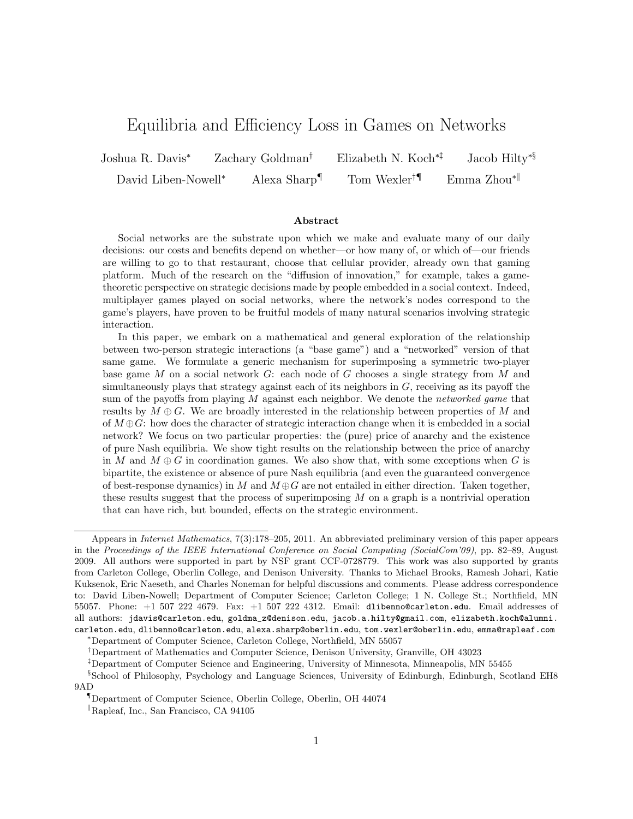# Equilibria and Efficiency Loss in Games on Networks

Joshua R. Davis<sup>∗</sup> Zachary Goldman† Elizabeth N. Koch∗‡ Jacob Hilty∗§ David Liben-Nowell<sup>∗</sup> Alexa Sharp¶ Tom Wexler†¶ Emma Zhou∗k

#### Abstract

Social networks are the substrate upon which we make and evaluate many of our daily decisions: our costs and benefits depend on whether—or how many of, or which of—our friends are willing to go to that restaurant, choose that cellular provider, already own that gaming platform. Much of the research on the "diffusion of innovation," for example, takes a gametheoretic perspective on strategic decisions made by people embedded in a social context. Indeed, multiplayer games played on social networks, where the network's nodes correspond to the game's players, have proven to be fruitful models of many natural scenarios involving strategic interaction.

In this paper, we embark on a mathematical and general exploration of the relationship between two-person strategic interactions (a "base game") and a "networked" version of that same game. We formulate a generic mechanism for superimposing a symmetric two-player base game  $M$  on a social network  $G$ : each node of  $G$  chooses a single strategy from  $M$  and simultaneously plays that strategy against each of its neighbors in  $G$ , receiving as its payoff the sum of the payoffs from playing  $M$  against each neighbor. We denote the *networked game* that results by  $M \oplus G$ . We are broadly interested in the relationship between properties of M and of  $M \oplus G$ : how does the character of strategic interaction change when it is embedded in a social network? We focus on two particular properties: the (pure) price of anarchy and the existence of pure Nash equilibria. We show tight results on the relationship between the price of anarchy in M and  $M \oplus G$  in coordination games. We also show that, with some exceptions when G is bipartite, the existence or absence of pure Nash equilibria (and even the guaranteed convergence of best-response dynamics) in M and  $M \oplus G$  are not entailed in either direction. Taken together, these results suggest that the process of superimposing  $M$  on a graph is a nontrivial operation that can have rich, but bounded, effects on the strategic environment.

<sup>∗</sup>Department of Computer Science, Carleton College, Northfield, MN 55057

Appears in Internet Mathematics, 7(3):178–205, 2011. An abbreviated preliminary version of this paper appears in the Proceedings of the IEEE International Conference on Social Computing (SocialCom'09), pp. 82–89, August 2009. All authors were supported in part by NSF grant CCF-0728779. This work was also supported by grants from Carleton College, Oberlin College, and Denison University. Thanks to Michael Brooks, Ramesh Johari, Katie Kuksenok, Eric Naeseth, and Charles Noneman for helpful discussions and comments. Please address correspondence to: David Liben-Nowell; Department of Computer Science; Carleton College; 1 N. College St.; Northfield, MN 55057. Phone: +1 507 222 4679. Fax: +1 507 222 4312. Email: dlibenno@carleton.edu. Email addresses of all authors: jdavis@carleton.edu, goldma\_z@denison.edu, jacob.a.hilty@gmail.com, elizabeth.koch@alumni. carleton.edu, dlibenno@carleton.edu, alexa.sharp@oberlin.edu, tom.wexler@oberlin.edu, emma@rapleaf.com

<sup>†</sup>Department of Mathematics and Computer Science, Denison University, Granville, OH 43023

<sup>‡</sup>Department of Computer Science and Engineering, University of Minnesota, Minneapolis, MN 55455

<sup>§</sup>School of Philosophy, Psychology and Language Sciences, University of Edinburgh, Edinburgh, Scotland EH8 9AD

<sup>¶</sup>Department of Computer Science, Oberlin College, Oberlin, OH 44074

Rapleaf, Inc., San Francisco, CA 94105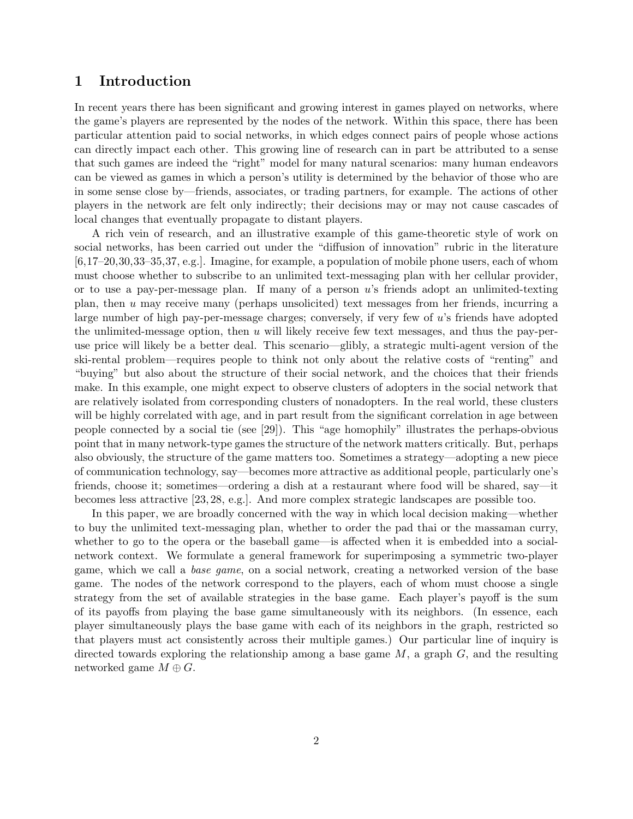### 1 Introduction

In recent years there has been significant and growing interest in games played on networks, where the game's players are represented by the nodes of the network. Within this space, there has been particular attention paid to social networks, in which edges connect pairs of people whose actions can directly impact each other. This growing line of research can in part be attributed to a sense that such games are indeed the "right" model for many natural scenarios: many human endeavors can be viewed as games in which a person's utility is determined by the behavior of those who are in some sense close by—friends, associates, or trading partners, for example. The actions of other players in the network are felt only indirectly; their decisions may or may not cause cascades of local changes that eventually propagate to distant players.

A rich vein of research, and an illustrative example of this game-theoretic style of work on social networks, has been carried out under the "diffusion of innovation" rubric in the literature [6,17–20,30,33–35,37, e.g.]. Imagine, for example, a population of mobile phone users, each of whom must choose whether to subscribe to an unlimited text-messaging plan with her cellular provider, or to use a pay-per-message plan. If many of a person  $u$ 's friends adopt an unlimited-texting plan, then u may receive many (perhaps unsolicited) text messages from her friends, incurring a large number of high pay-per-message charges; conversely, if very few of u's friends have adopted the unlimited-message option, then  $u$  will likely receive few text messages, and thus the pay-peruse price will likely be a better deal. This scenario—glibly, a strategic multi-agent version of the ski-rental problem—requires people to think not only about the relative costs of "renting" and "buying" but also about the structure of their social network, and the choices that their friends make. In this example, one might expect to observe clusters of adopters in the social network that are relatively isolated from corresponding clusters of nonadopters. In the real world, these clusters will be highly correlated with age, and in part result from the significant correlation in age between people connected by a social tie (see [29]). This "age homophily" illustrates the perhaps-obvious point that in many network-type games the structure of the network matters critically. But, perhaps also obviously, the structure of the game matters too. Sometimes a strategy—adopting a new piece of communication technology, say—becomes more attractive as additional people, particularly one's friends, choose it; sometimes—ordering a dish at a restaurant where food will be shared, say—it becomes less attractive [23, 28, e.g.]. And more complex strategic landscapes are possible too.

In this paper, we are broadly concerned with the way in which local decision making—whether to buy the unlimited text-messaging plan, whether to order the pad thai or the massaman curry, whether to go to the opera or the baseball game—is affected when it is embedded into a socialnetwork context. We formulate a general framework for superimposing a symmetric two-player game, which we call a base game, on a social network, creating a networked version of the base game. The nodes of the network correspond to the players, each of whom must choose a single strategy from the set of available strategies in the base game. Each player's payoff is the sum of its payoffs from playing the base game simultaneously with its neighbors. (In essence, each player simultaneously plays the base game with each of its neighbors in the graph, restricted so that players must act consistently across their multiple games.) Our particular line of inquiry is directed towards exploring the relationship among a base game  $M$ , a graph  $G$ , and the resulting networked game  $M \oplus G$ .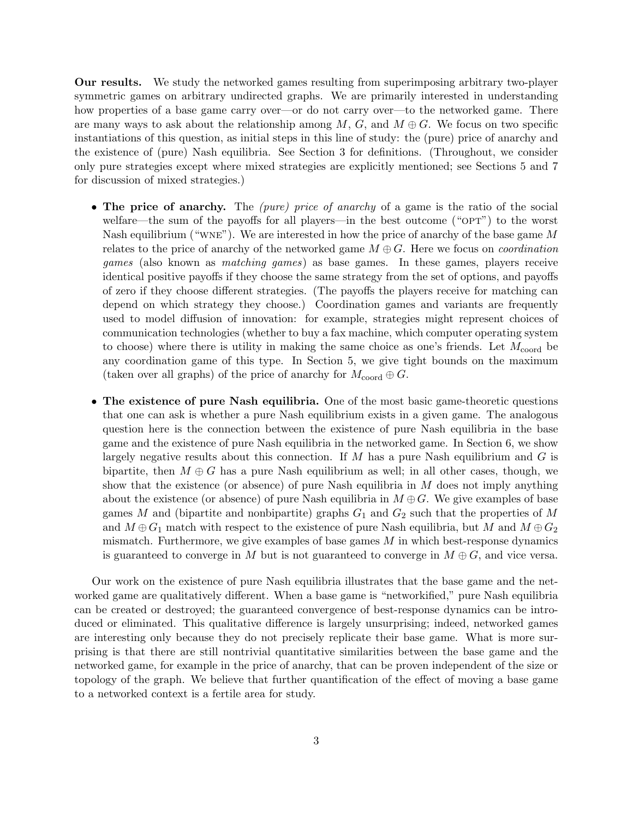Our results. We study the networked games resulting from superimposing arbitrary two-player symmetric games on arbitrary undirected graphs. We are primarily interested in understanding how properties of a base game carry over—or do not carry over—to the networked game. There are many ways to ask about the relationship among  $M, G$ , and  $M \oplus G$ . We focus on two specific instantiations of this question, as initial steps in this line of study: the (pure) price of anarchy and the existence of (pure) Nash equilibria. See Section 3 for definitions. (Throughout, we consider only pure strategies except where mixed strategies are explicitly mentioned; see Sections 5 and 7 for discussion of mixed strategies.)

- The price of anarchy. The *(pure) price of anarchy* of a game is the ratio of the social welfare—the sum of the payoffs for all players—in the best outcome ("OPT") to the worst Nash equilibrium ("WNE"). We are interested in how the price of anarchy of the base game M relates to the price of anarchy of the networked game  $M \oplus G$ . Here we focus on *coordination* games (also known as matching games) as base games. In these games, players receive identical positive payoffs if they choose the same strategy from the set of options, and payoffs of zero if they choose different strategies. (The payoffs the players receive for matching can depend on which strategy they choose.) Coordination games and variants are frequently used to model diffusion of innovation: for example, strategies might represent choices of communication technologies (whether to buy a fax machine, which computer operating system to choose) where there is utility in making the same choice as one's friends. Let  $M_{\rm coord}$  be any coordination game of this type. In Section 5, we give tight bounds on the maximum (taken over all graphs) of the price of anarchy for  $M_{\rm coord} \oplus G$ .
- The existence of pure Nash equilibria. One of the most basic game-theoretic questions that one can ask is whether a pure Nash equilibrium exists in a given game. The analogous question here is the connection between the existence of pure Nash equilibria in the base game and the existence of pure Nash equilibria in the networked game. In Section 6, we show largely negative results about this connection. If  $M$  has a pure Nash equilibrium and  $G$  is bipartite, then  $M \oplus G$  has a pure Nash equilibrium as well; in all other cases, though, we show that the existence (or absence) of pure Nash equilibria in  $M$  does not imply anything about the existence (or absence) of pure Nash equilibria in  $M \oplus G$ . We give examples of base games  $M$  and (bipartite and nonbipartite) graphs  $G_1$  and  $G_2$  such that the properties of  $M$ and  $M \oplus G_1$  match with respect to the existence of pure Nash equilibria, but M and  $M \oplus G_2$ mismatch. Furthermore, we give examples of base games  $M$  in which best-response dynamics is guaranteed to converge in M but is not guaranteed to converge in  $M \oplus G$ , and vice versa.

Our work on the existence of pure Nash equilibria illustrates that the base game and the networked game are qualitatively different. When a base game is "networkified," pure Nash equilibria can be created or destroyed; the guaranteed convergence of best-response dynamics can be introduced or eliminated. This qualitative difference is largely unsurprising; indeed, networked games are interesting only because they do not precisely replicate their base game. What is more surprising is that there are still nontrivial quantitative similarities between the base game and the networked game, for example in the price of anarchy, that can be proven independent of the size or topology of the graph. We believe that further quantification of the effect of moving a base game to a networked context is a fertile area for study.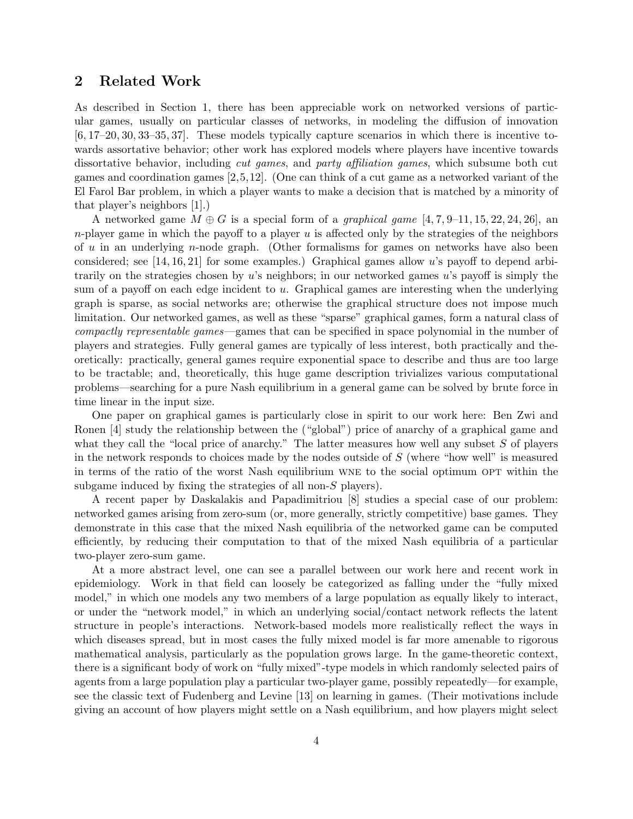### 2 Related Work

As described in Section 1, there has been appreciable work on networked versions of particular games, usually on particular classes of networks, in modeling the diffusion of innovation [6, 17–20, 30, 33–35, 37]. These models typically capture scenarios in which there is incentive towards assortative behavior; other work has explored models where players have incentive towards dissortative behavior, including cut games, and party affiliation games, which subsume both cut games and coordination games [2,5,12]. (One can think of a cut game as a networked variant of the El Farol Bar problem, in which a player wants to make a decision that is matched by a minority of that player's neighbors [1].)

A networked game  $M \oplus G$  is a special form of a *graphical game* [4, 7, 9–11, 15, 22, 24, 26], an  $n$ -player game in which the payoff to a player u is affected only by the strategies of the neighbors of  $u$  in an underlying *n*-node graph. (Other formalisms for games on networks have also been considered; see  $[14, 16, 21]$  for some examples.) Graphical games allow u's payoff to depend arbitrarily on the strategies chosen by  $u$ 's neighbors; in our networked games  $u$ 's payoff is simply the sum of a payoff on each edge incident to  $u$ . Graphical games are interesting when the underlying graph is sparse, as social networks are; otherwise the graphical structure does not impose much limitation. Our networked games, as well as these "sparse" graphical games, form a natural class of compactly representable games—games that can be specified in space polynomial in the number of players and strategies. Fully general games are typically of less interest, both practically and theoretically: practically, general games require exponential space to describe and thus are too large to be tractable; and, theoretically, this huge game description trivializes various computational problems—searching for a pure Nash equilibrium in a general game can be solved by brute force in time linear in the input size.

One paper on graphical games is particularly close in spirit to our work here: Ben Zwi and Ronen [4] study the relationship between the ("global") price of anarchy of a graphical game and what they call the "local price of anarchy." The latter measures how well any subset  $S$  of players in the network responds to choices made by the nodes outside of S (where "how well" is measured in terms of the ratio of the worst Nash equilibrium WNE to the social optimum OPT within the subgame induced by fixing the strategies of all non-S players).

A recent paper by Daskalakis and Papadimitriou [8] studies a special case of our problem: networked games arising from zero-sum (or, more generally, strictly competitive) base games. They demonstrate in this case that the mixed Nash equilibria of the networked game can be computed efficiently, by reducing their computation to that of the mixed Nash equilibria of a particular two-player zero-sum game.

At a more abstract level, one can see a parallel between our work here and recent work in epidemiology. Work in that field can loosely be categorized as falling under the "fully mixed model," in which one models any two members of a large population as equally likely to interact, or under the "network model," in which an underlying social/contact network reflects the latent structure in people's interactions. Network-based models more realistically reflect the ways in which diseases spread, but in most cases the fully mixed model is far more amenable to rigorous mathematical analysis, particularly as the population grows large. In the game-theoretic context, there is a significant body of work on "fully mixed"-type models in which randomly selected pairs of agents from a large population play a particular two-player game, possibly repeatedly—for example, see the classic text of Fudenberg and Levine [13] on learning in games. (Their motivations include giving an account of how players might settle on a Nash equilibrium, and how players might select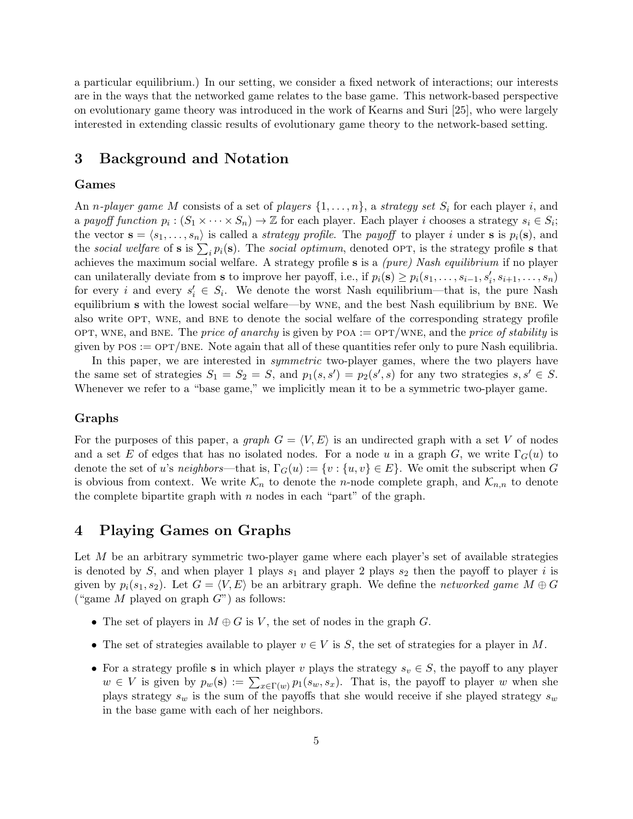a particular equilibrium.) In our setting, we consider a fixed network of interactions; our interests are in the ways that the networked game relates to the base game. This network-based perspective on evolutionary game theory was introduced in the work of Kearns and Suri [25], who were largely interested in extending classic results of evolutionary game theory to the network-based setting.

### 3 Background and Notation

#### Games

An *n*-player game M consists of a set of players  $\{1, \ldots, n\}$ , a strategy set  $S_i$  for each player i, and a payoff function  $p_i : (S_1 \times \cdots \times S_n) \to \mathbb{Z}$  for each player. Each player i chooses a strategy  $s_i \in S_i$ ; the vector  $\mathbf{s} = \langle s_1, \ldots, s_n \rangle$  is called a *strategy profile*. The *payoff* to player i under **s** is  $p_i(\mathbf{s})$ , and the social welfare of **s** is  $\sum_i p_i(\mathbf{s})$ . The social optimum, denoted OPT, is the strategy profile **s** that achieves the maximum social welfare. A strategy profile s is a *(pure) Nash equilibrium* if no player can unilaterally deviate from **s** to improve her payoff, i.e., if  $p_i(\mathbf{s}) \geq p_i(s_1, \ldots, s_{i-1}, s'_i, s_{i+1}, \ldots, s_n)$ for every i and every  $s_i' \in S_i$ . We denote the worst Nash equilibrium—that is, the pure Nash equilibrium s with the lowest social welfare—by wne, and the best Nash equilibrium by bne. We also write opt, wne, and bne to denote the social welfare of the corresponding strategy profile OPT, WNE, and BNE. The price of anarchy is given by POA :=  $OPT/WNE$ , and the price of stability is given by  $pos := OPT/BNE$ . Note again that all of these quantities refer only to pure Nash equilibria.

In this paper, we are interested in *symmetric* two-player games, where the two players have the same set of strategies  $S_1 = S_2 = S$ , and  $p_1(s, s') = p_2(s', s)$  for any two strategies  $s, s' \in S$ . Whenever we refer to a "base game," we implicitly mean it to be a symmetric two-player game.

#### Graphs

For the purposes of this paper, a graph  $G = \langle V, E \rangle$  is an undirected graph with a set V of nodes and a set E of edges that has no isolated nodes. For a node u in a graph G, we write  $\Gamma_G(u)$  to denote the set of u's neighbors—that is,  $\Gamma_G(u) := \{v : \{u, v\} \in E\}$ . We omit the subscript when G is obvious from context. We write  $\mathcal{K}_n$  to denote the *n*-node complete graph, and  $\mathcal{K}_{n,n}$  to denote the complete bipartite graph with n nodes in each "part" of the graph.

### 4 Playing Games on Graphs

Let M be an arbitrary symmetric two-player game where each player's set of available strategies is denoted by S, and when player 1 plays  $s_1$  and player 2 plays  $s_2$  then the payoff to player i is given by  $p_i(s_1, s_2)$ . Let  $G = \langle V, E \rangle$  be an arbitrary graph. We define the networked game  $M \oplus G$ ("game M played on graph  $G$ ") as follows:

- The set of players in  $M \oplus G$  is V, the set of nodes in the graph G.
- The set of strategies available to player  $v \in V$  is S, the set of strategies for a player in M.
- For a strategy profile s in which player v plays the strategy  $s_v \in S$ , the payoff to any player  $w \in V$  is given by  $p_w(\mathbf{s}) := \sum_{x \in \Gamma(w)} p_1(s_w, s_x)$ . That is, the payoff to player w when she plays strategy  $s_w$  is the sum of the payoffs that she would receive if she played strategy  $s_w$ in the base game with each of her neighbors.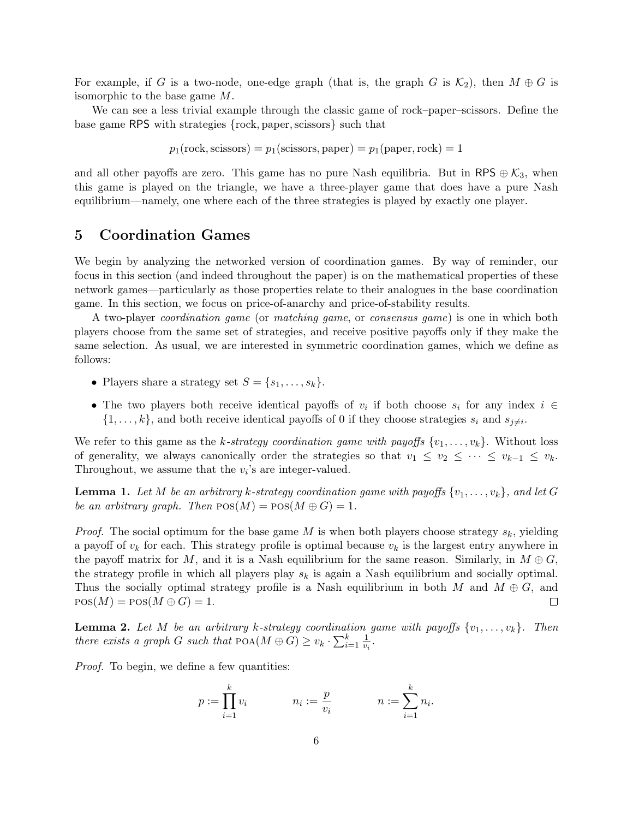For example, if G is a two-node, one-edge graph (that is, the graph G is  $\mathcal{K}_2$ ), then  $M \oplus G$  is isomorphic to the base game M.

We can see a less trivial example through the classic game of rock–paper–scissors. Define the base game RPS with strategies {rock, paper,scissors} such that

 $p_1$ (rock, scissors) =  $p_1$ (scissors, paper) =  $p_1$ (paper, rock) = 1

and all other payoffs are zero. This game has no pure Nash equilibria. But in RPS  $\oplus K_3$ , when this game is played on the triangle, we have a three-player game that does have a pure Nash equilibrium—namely, one where each of the three strategies is played by exactly one player.

### 5 Coordination Games

We begin by analyzing the networked version of coordination games. By way of reminder, our focus in this section (and indeed throughout the paper) is on the mathematical properties of these network games—particularly as those properties relate to their analogues in the base coordination game. In this section, we focus on price-of-anarchy and price-of-stability results.

A two-player coordination game (or matching game, or consensus game) is one in which both players choose from the same set of strategies, and receive positive payoffs only if they make the same selection. As usual, we are interested in symmetric coordination games, which we define as follows:

- Players share a strategy set  $S = \{s_1, \ldots, s_k\}.$
- The two players both receive identical payoffs of  $v_i$  if both choose  $s_i$  for any index  $i \in$  $\{1,\ldots,k\}$ , and both receive identical payoffs of 0 if they choose strategies  $s_i$  and  $s_{j\neq i}$ .

We refer to this game as the k-strategy coordination game with payoffs  $\{v_1, \ldots, v_k\}$ . Without loss of generality, we always canonically order the strategies so that  $v_1 \le v_2 \le \cdots \le v_{k-1} \le v_k$ . Throughout, we assume that the  $v_i$ 's are integer-valued.

**Lemma 1.** Let M be an arbitrary k-strategy coordination game with payoffs  $\{v_1, \ldots, v_k\}$ , and let G be an arbitrary graph. Then  $\text{pos}(M) = \text{pos}(M \oplus G) = 1$ .

*Proof.* The social optimum for the base game M is when both players choose strategy  $s_k$ , yielding a payoff of  $v_k$  for each. This strategy profile is optimal because  $v_k$  is the largest entry anywhere in the payoff matrix for M, and it is a Nash equilibrium for the same reason. Similarly, in  $M \oplus G$ , the strategy profile in which all players play  $s_k$  is again a Nash equilibrium and socially optimal. Thus the socially optimal strategy profile is a Nash equilibrium in both M and  $M \oplus G$ , and  $pos(M) = pos(M \oplus G) = 1.$  $\Box$ 

**Lemma 2.** Let M be an arbitrary k-strategy coordination game with payoffs  $\{v_1, \ldots, v_k\}$ . Then there exists a graph G such that  $\text{POA}(M \oplus G) \geq v_k \cdot \sum_{i=1}^k \frac{1}{v_i}$  $\frac{1}{v_i}$  .

Proof. To begin, we define a few quantities:

$$
p := \prod_{i=1}^{k} v_i
$$
  $n_i := \frac{p}{v_i}$   $n := \sum_{i=1}^{k} n_i$ .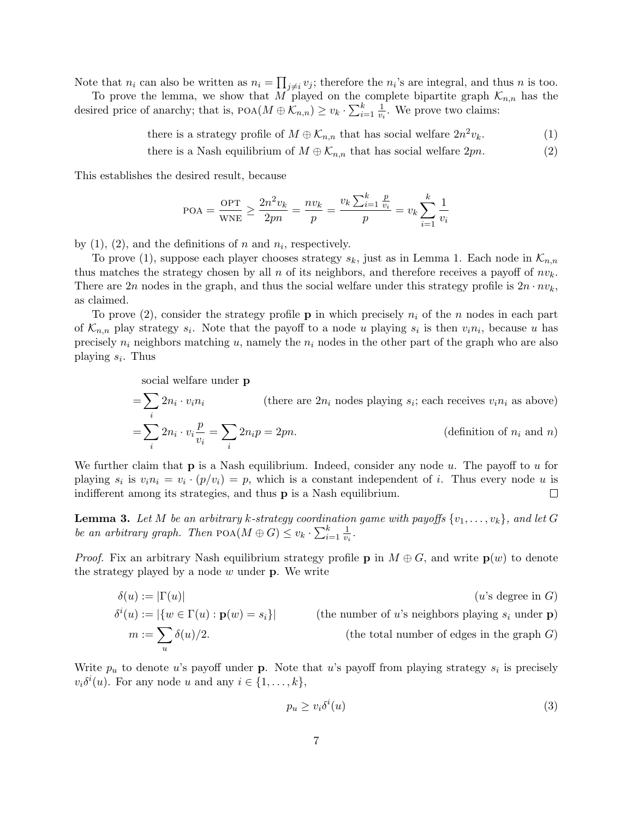Note that  $n_i$  can also be written as  $n_i = \prod_{j \neq i} v_j$ ; therefore the  $n_i$ 's are integral, and thus n is too.

To prove the lemma, we show that M played on the complete bipartite graph  $\mathcal{K}_{n,n}$  has the desired price of anarchy; that is,  $POA(M \oplus \mathcal{K}_{n,n}) \geq v_k \cdot \sum_{i=1}^k \frac{1}{v_i}$  $\frac{1}{v_i}$ . We prove two claims:

there is a strategy profile of  $M \oplus \mathcal{K}_{n,n}$  that has social welfare  $2n^2v_k$ . (1)

there is a Nash equilibrium of  $M \oplus \mathcal{K}_{n,n}$  that has social welfare  $2pn$ . (2)

This establishes the desired result, because

$$
POA = \frac{OPT}{WNE} \ge \frac{2n^2v_k}{2pn} = \frac{nv_k}{p} = \frac{v_k \sum_{i=1}^k \frac{p}{v_i}}{p} = v_k \sum_{i=1}^k \frac{1}{v_i}
$$

by  $(1)$ ,  $(2)$ , and the definitions of n and  $n_i$ , respectively.

To prove (1), suppose each player chooses strategy  $s_k$ , just as in Lemma 1. Each node in  $\mathcal{K}_{n,n}$ thus matches the strategy chosen by all n of its neighbors, and therefore receives a payoff of  $nv_k$ . There are 2n nodes in the graph, and thus the social welfare under this strategy profile is  $2n \cdot nv_k$ , as claimed.

To prove (2), consider the strategy profile **p** in which precisely  $n_i$  of the n nodes in each part of  $\mathcal{K}_{n,n}$  play strategy  $s_i$ . Note that the payoff to a node u playing  $s_i$  is then  $v_i n_i$ , because u has precisely  $n_i$  neighbors matching u, namely the  $n_i$  nodes in the other part of the graph who are also playing  $s_i$ . Thus

social welfare under p

$$
= \sum_{i} 2n_i \cdot v_i n_i
$$
 (there are  $2n_i$  nodes playing  $s_i$ ; each receives  $v_i n_i$  as above)  

$$
= \sum_{i} 2n_i \cdot v_i \frac{p}{v_i} = \sum_{i} 2n_i p = 2pn.
$$
 (definition of  $n_i$  and  $n$ )

We further claim that  $\bf{p}$  is a Nash equilibrium. Indeed, consider any node u. The payoff to u for playing  $s_i$  is  $v_i n_i = v_i \cdot (p/v_i) = p$ , which is a constant independent of i. Thus every node u is indifferent among its strategies, and thus p is a Nash equilibrium.  $\Box$ 

**Lemma 3.** Let M be an arbitrary k-strategy coordination game with payoffs  $\{v_1, \ldots, v_k\}$ , and let G be an arbitrary graph. Then  $\text{POA}(M \oplus G) \leq v_k \cdot \sum_{i=1}^k \frac{1}{v_i}$  $\frac{1}{v_i}$  .

*Proof.* Fix an arbitrary Nash equilibrium strategy profile **p** in  $M \oplus G$ , and write **p**(w) to denote the strategy played by a node  $w$  under  $p$ . We write

 $\delta(u) := |\Gamma(u)|$  (u's degree in G)  $\delta^i$ (the number of u's neighbors playing  $s_i$  under **p**)  $m := \sum$ u (the total number of edges in the graph  $G$ )

Write  $p_u$  to denote u's payoff under **p**. Note that u's payoff from playing strategy  $s_i$  is precisely  $v_i \delta^i(u)$ . For any node u and any  $i \in \{1, ..., k\},\$ 

$$
p_u \ge v_i \delta^i(u) \tag{3}
$$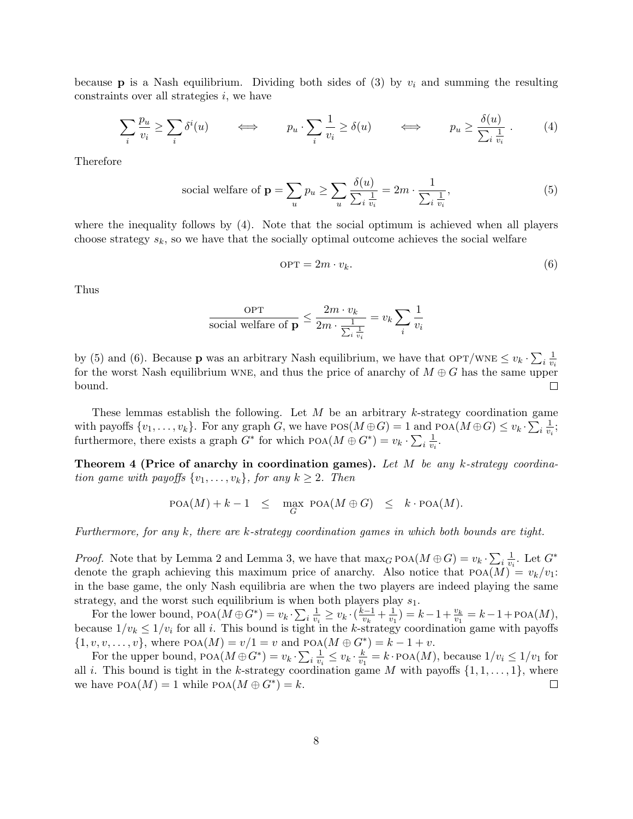because **p** is a Nash equilibrium. Dividing both sides of (3) by  $v_i$  and summing the resulting constraints over all strategies  $i$ , we have

$$
\sum_{i} \frac{p_u}{v_i} \ge \sum_{i} \delta^i(u) \qquad \Longleftrightarrow \qquad p_u \cdot \sum_{i} \frac{1}{v_i} \ge \delta(u) \qquad \Longleftrightarrow \qquad p_u \ge \frac{\delta(u)}{\sum_{i} \frac{1}{v_i}} \,.
$$
 (4)

Therefore

social welfare of 
$$
\mathbf{p} = \sum_{u} p_u \ge \sum_{u} \frac{\delta(u)}{\sum_{i} \frac{1}{v_i}} = 2m \cdot \frac{1}{\sum_{i} \frac{1}{v_i}},
$$
 (5)

where the inequality follows by (4). Note that the social optimum is achieved when all players choose strategy  $s_k$ , so we have that the socially optimal outcome achieves the social welfare

$$
OPT = 2m \cdot v_k. \tag{6}
$$

Thus

$$
\frac{\text{OPT}}{\text{social welfare of } \mathbf{p}} \le \frac{2m \cdot v_k}{2m \cdot \frac{1}{\sum_i \frac{1}{v_i}}} = v_k \sum_i \frac{1}{v_i}
$$

by (5) and (6). Because **p** was an arbitrary Nash equilibrium, we have that  $\text{OPT}/\text{WNE} \leq v_k \cdot \sum_i \frac{1}{v_i}$ vi for the worst Nash equilibrium WNE, and thus the price of anarchy of  $M \oplus G$  has the same upper bound.  $\Box$ 

These lemmas establish the following. Let  $M$  be an arbitrary  $k$ -strategy coordination game with payoffs  $\{v_1,\ldots,v_k\}$ . For any graph G, we have  $\text{pos}(M \oplus G) = 1$  and  $\text{pos}(M \oplus G) \leq v_k \cdot \sum_i \frac{1}{v_i}$  $\frac{1}{v_i};$ furthermore, there exists a graph  $G^*$  for which POA $(M \oplus G^*) = v_k \cdot \sum_i \frac{1}{v_i}$  $\frac{1}{v_i}$ .

**Theorem 4 (Price of anarchy in coordination games).** Let M be any k-strategy coordination game with payoffs  $\{v_1, \ldots, v_k\}$ , for any  $k \geq 2$ . Then

$$
\hbox{POA}(M) + k - 1 \leq \max_{G} \ \hbox{POA}(M \oplus G) \ \leq \ k \cdot \hbox{POA}(M).
$$

Furthermore, for any k, there are k-strategy coordination games in which both bounds are tight.

*Proof.* Note that by Lemma 2 and Lemma 3, we have that  $\max_G \text{POA}(M \oplus G) = v_k \cdot \sum_i \frac{1}{v_i}$  $\frac{1}{v_i}$ . Let  $G^*$ denote the graph achieving this maximum price of anarchy. Also notice that  $POA(M) = v_k/v_1$ : in the base game, the only Nash equilibria are when the two players are indeed playing the same strategy, and the worst such equilibrium is when both players play  $s_1$ .

For the lower bound,  $POA(M \oplus G^*) = v_k \cdot \sum_i \frac{1}{v_i}$  $\frac{1}{v_i} \geq v_k \cdot (\frac{k-1}{v_k})$  $\frac{n-1}{v_k} + \frac{1}{v_1}$  $\frac{1}{v_1}$ ) =  $k-1+\frac{v_k}{v_1} = k-1+ \text{poA}(M)$ , because  $1/v_k \leq 1/v_i$  for all i. This bound is tight in the k-strategy coordination game with payoffs  $\{1, v, v, \ldots, v\}$ , where POA $(M) = v/1 = v$  and POA $(M \oplus G^*) = k - 1 + v$ .

For the upper bound,  $POA(M \oplus G^*) = v_k \cdot \sum_i \frac{1}{v_i}$  $\frac{1}{v_i} \leq v_k \cdot \frac{k}{v_1}$  $\frac{k}{v_1} = k \cdot \text{POA}(M)$ , because  $1/v_i \leq 1/v_1$  for all i. This bound is tight in the k-strategy coordination game M with payoffs  $\{1, 1, \ldots, 1\}$ , where we have  $POA(M) = 1$  while  $POA(M \oplus G^*) = k$ .  $\Box$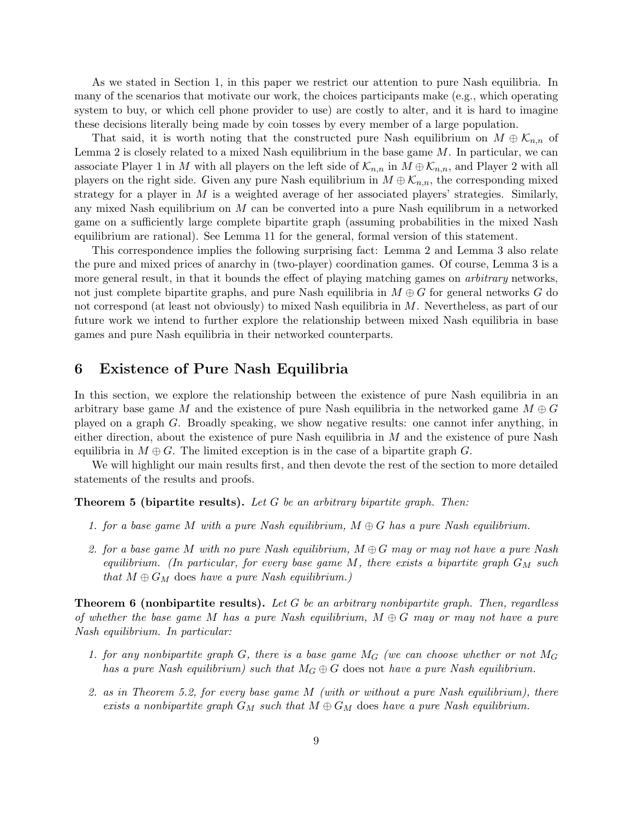As we stated in Section 1, in this paper we restrict our attention to pure Nash equilibria. In many of the scenarios that motivate our work, the choices participants make (e.g., which operating system to buy, or which cell phone provider to use) are costly to alter, and it is hard to imagine these decisions literally being made by coin tosses by every member of a large population.

That said, it is worth noting that the constructed pure Nash equilibrium on  $M \oplus \mathcal{K}_{n,n}$  of Lemma 2 is closely related to a mixed Nash equilibrium in the base game  $M$ . In particular, we can associate Player 1 in M with all players on the left side of  $\mathcal{K}_{n,n}$  in  $M \oplus \mathcal{K}_{n,n}$ , and Player 2 with all players on the right side. Given any pure Nash equilibrium in  $M \oplus \mathcal{K}_{n,n}$ , the corresponding mixed strategy for a player in  $M$  is a weighted average of her associated players' strategies. Similarly, any mixed Nash equilibrium on  $M$  can be converted into a pure Nash equilibrum in a networked game on a sufficiently large complete bipartite graph (assuming probabilities in the mixed Nash equilibrium are rational). See Lemma 11 for the general, formal version of this statement.

This correspondence implies the following surprising fact: Lemma 2 and Lemma 3 also relate the pure and mixed prices of anarchy in (two-player) coordination games. Of course, Lemma 3 is a more general result, in that it bounds the effect of playing matching games on *arbitrary* networks, not just complete bipartite graphs, and pure Nash equilibria in  $M \oplus G$  for general networks G do not correspond (at least not obviously) to mixed Nash equilibria in M. Nevertheless, as part of our future work we intend to further explore the relationship between mixed Nash equilibria in base games and pure Nash equilibria in their networked counterparts.

### 6 Existence of Pure Nash Equilibria

In this section, we explore the relationship between the existence of pure Nash equilibria in an arbitrary base game M and the existence of pure Nash equilibria in the networked game  $M \oplus G$ played on a graph G. Broadly speaking, we show negative results: one cannot infer anything, in either direction, about the existence of pure Nash equilibria in  $M$  and the existence of pure Nash equilibria in  $M \oplus G$ . The limited exception is in the case of a bipartite graph G.

We will highlight our main results first, and then devote the rest of the section to more detailed statements of the results and proofs.

#### **Theorem 5 (bipartite results).** Let G be an arbitrary bipartite graph. Then:

- 1. for a base game M with a pure Nash equilibrium,  $M \oplus G$  has a pure Nash equilibrium.
- 2. for a base game M with no pure Nash equilibrium,  $M \oplus G$  may or may not have a pure Nash equilibrium. (In particular, for every base game  $M$ , there exists a bipartite graph  $G_M$  such that  $M \oplus G_M$  does have a pure Nash equilibrium.)

**Theorem 6 (nonbipartite results).** Let G be an arbitrary nonbipartite graph. Then, regardless of whether the base game M has a pure Nash equilibrium,  $M \oplus G$  may or may not have a pure Nash equilibrium. In particular:

- 1. for any nonbipartite graph G, there is a base game  $M_G$  (we can choose whether or not  $M_G$ has a pure Nash equilibrium) such that  $M_G \oplus G$  does not have a pure Nash equilibrium.
- 2. as in Theorem 5.2, for every base game M (with or without a pure Nash equilibrium), there exists a nonbipartite graph  $G_M$  such that  $M \oplus G_M$  does have a pure Nash equilibrium.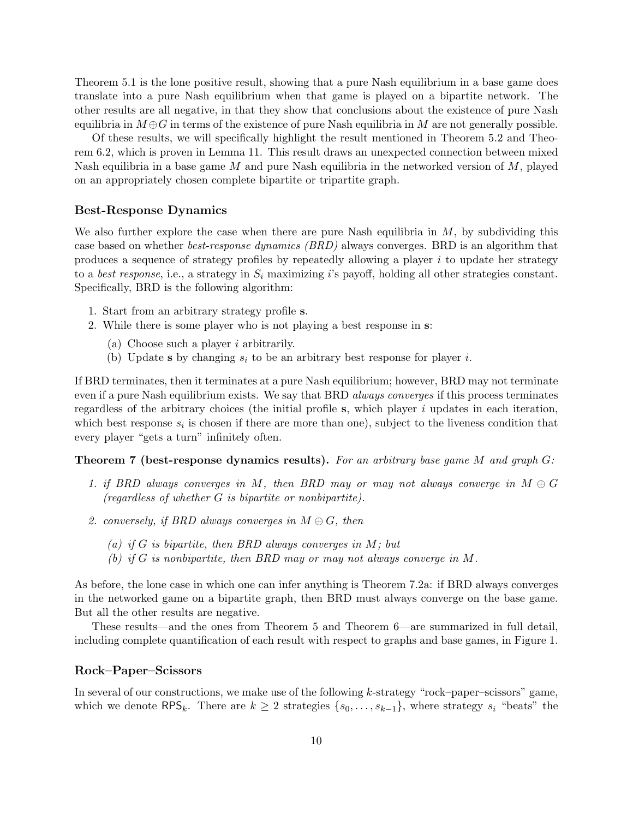Theorem 5.1 is the lone positive result, showing that a pure Nash equilibrium in a base game does translate into a pure Nash equilibrium when that game is played on a bipartite network. The other results are all negative, in that they show that conclusions about the existence of pure Nash equilibria in  $M \oplus G$  in terms of the existence of pure Nash equilibria in M are not generally possible.

Of these results, we will specifically highlight the result mentioned in Theorem 5.2 and Theorem 6.2, which is proven in Lemma 11. This result draws an unexpected connection between mixed Nash equilibria in a base game M and pure Nash equilibria in the networked version of  $M$ , played on an appropriately chosen complete bipartite or tripartite graph.

#### Best-Response Dynamics

We also further explore the case when there are pure Nash equilibria in  $M$ , by subdividing this case based on whether best-response dynamics (BRD) always converges. BRD is an algorithm that produces a sequence of strategy profiles by repeatedly allowing a player i to update her strategy to a best response, i.e., a strategy in  $S_i$  maximizing i's payoff, holding all other strategies constant. Specifically, BRD is the following algorithm:

- 1. Start from an arbitrary strategy profile s.
- 2. While there is some player who is not playing a best response in s:
	- (a) Choose such a player i arbitrarily.
	- (b) Update s by changing  $s_i$  to be an arbitrary best response for player i.

If BRD terminates, then it terminates at a pure Nash equilibrium; however, BRD may not terminate even if a pure Nash equilibrium exists. We say that BRD *always converges* if this process terminates regardless of the arbitrary choices (the initial profile s, which player  $i$  updates in each iteration, which best response  $s_i$  is chosen if there are more than one), subject to the liveness condition that every player "gets a turn" infinitely often.

**Theorem 7 (best-response dynamics results).** For an arbitrary base game M and graph  $G$ :

- 1. if BRD always converges in M, then BRD may or may not always converge in  $M \oplus G$ (regardless of whether G is bipartite or nonbipartite).
- 2. conversely, if BRD always converges in  $M \oplus G$ , then
	- (a) if G is bipartite, then BRD always converges in M; but
	- (b) if G is nonbipartite, then BRD may or may not always converge in M.

As before, the lone case in which one can infer anything is Theorem 7.2a: if BRD always converges in the networked game on a bipartite graph, then BRD must always converge on the base game. But all the other results are negative.

These results—and the ones from Theorem 5 and Theorem 6—are summarized in full detail, including complete quantification of each result with respect to graphs and base games, in Figure 1.

#### Rock–Paper–Scissors

In several of our constructions, we make use of the following k-strategy "rock–paper–scissors" game, which we denote  $\mathsf{RPS}_k$ . There are  $k \geq 2$  strategies  $\{s_0, \ldots, s_{k-1}\}\)$ , where strategy  $s_i$  "beats" the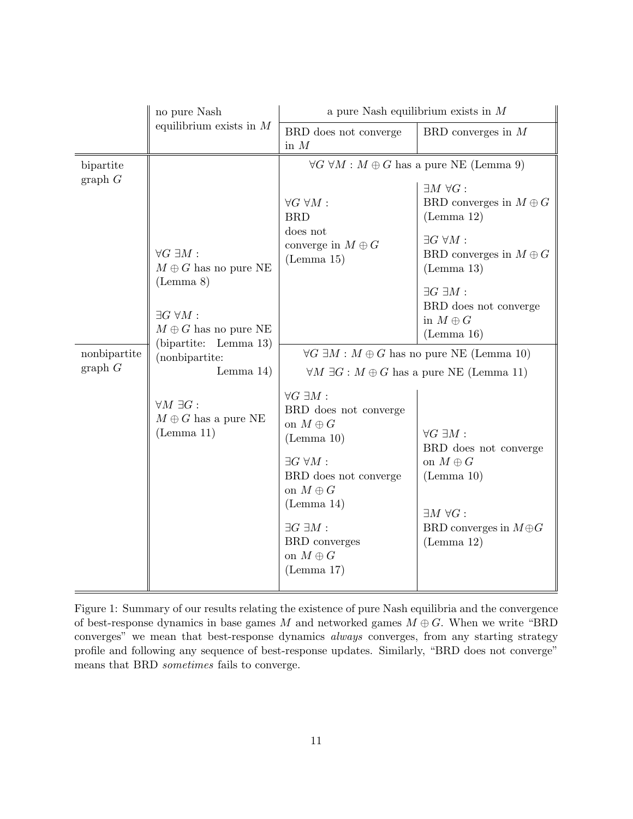|                         | no pure Nash                                                                                                                                              | a pure Nash equilibrium exists in $M$                                                                                                                                                                                                                                                                                              |                                                                                                                                                                                                                                            |  |  |  |
|-------------------------|-----------------------------------------------------------------------------------------------------------------------------------------------------------|------------------------------------------------------------------------------------------------------------------------------------------------------------------------------------------------------------------------------------------------------------------------------------------------------------------------------------|--------------------------------------------------------------------------------------------------------------------------------------------------------------------------------------------------------------------------------------------|--|--|--|
|                         | equilibrium exists in $M$                                                                                                                                 | BRD does not converge<br>in $M$                                                                                                                                                                                                                                                                                                    | BRD converges in $M$                                                                                                                                                                                                                       |  |  |  |
| bipartite<br>graph G    | $\forall G \; \exists M:$<br>$M \oplus G$ has no pure NE<br>(Lemma 8)<br>$\exists G \; \forall M:$<br>$M\oplus G$ has no pure NE<br>(bipartite: Lemma 13) | $\forall G \ \forall M : M \oplus G$ has a pure NE (Lemma 9)<br>$\forall G\;\forall M$ :<br><b>BRD</b><br>does not<br>converge in $M \oplus G$<br>(Lemma 15)                                                                                                                                                                       | $\exists M \ \forall G:$<br>BRD converges in $M \oplus G$<br>(Lemma 12)<br>$\exists G \; \forall M:$<br>BRD converges in $M\oplus G$<br>(Lemma 13)<br>$\exists G \; \exists M$ :<br>BRD does not converge<br>in $M \oplus G$<br>(Lemma 16) |  |  |  |
| nonbipartite<br>graph G | (nonbipartite:<br>Lemma $14)$<br>$\forall M \; \exists G$ :<br>$M \oplus G$ has a pure NE<br>(Lemma 11)                                                   | $\forall M \; \exists G : M \oplus G$ has a pure NE (Lemma 11)<br>$\forall G \; \exists M:$<br>BRD does not converge<br>on $M \oplus G$<br>(Lemma 10)<br>$\exists G \ \forall M:$<br>BRD does not converge<br>on $M \oplus G$<br>(Lemma 14)<br>$\exists G \; \exists M$ :<br><b>BRD</b> converges<br>on $M \oplus G$<br>(Lemma 17) | $\forall G \ \exists M : M \oplus G$ has no pure NE (Lemma 10)<br>$\forall G \; \exists M:$<br>BRD does not converge<br>on $M \oplus G$<br>(Lemma 10)<br>$\exists M \; \forall G:$<br>BRD converges in $M \oplus G$<br>(Lemma 12)          |  |  |  |

Figure 1: Summary of our results relating the existence of pure Nash equilibria and the convergence of best-response dynamics in base games M and networked games  $M \oplus G$ . When we write "BRD converges" we mean that best-response dynamics always converges, from any starting strategy profile and following any sequence of best-response updates. Similarly, "BRD does not converge" means that BRD sometimes fails to converge.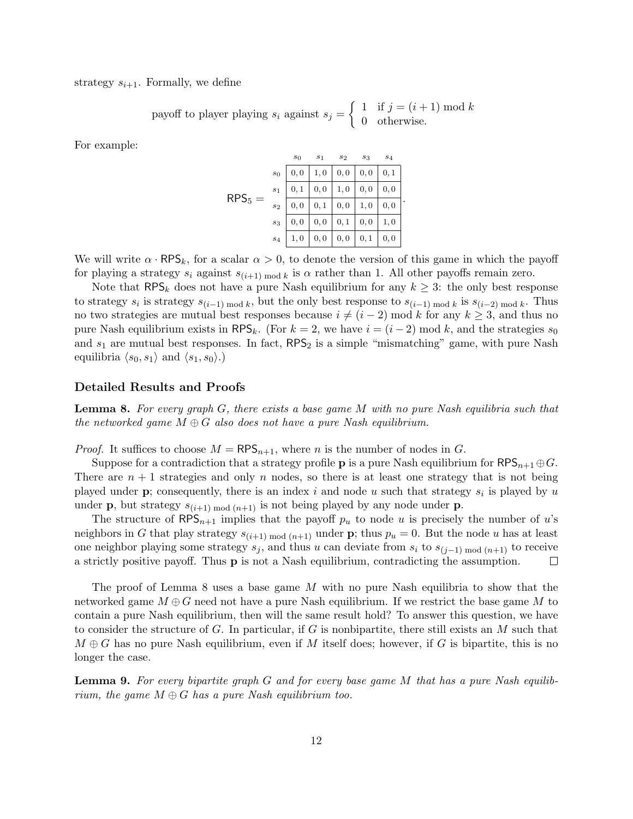strategy  $s_{i+1}$ . Formally, we define

payoff to player playing 
$$
s_i
$$
 against  $s_j = \begin{cases} 1 & \text{if } j = (i+1) \bmod k \\ 0 & \text{otherwise.} \end{cases}$ 

For example:

$$
RPS_5 = \begin{array}{c|cccccc} s_0 & s_1 & s_2 & s_3 & s_4 \\ \hline s_0 & 0,0 & 1,0 & 0,0 & 0,0 & 0,1 \\ s_1 & 0,1 & 0,0 & 1,0 & 0,0 & 0,0 \\ s_2 & 0,0 & 0,1 & 0,0 & 1,0 & 0,0 \\ s_3 & 0,0 & 0,0 & 0,1 & 0,0 & 1,0 \\ s_4 & 1,0 & 0,0 & 0,0 & 0,1 & 0,0 \\ \end{array}.
$$

We will write  $\alpha$  · RPS<sub>k</sub>, for a scalar  $\alpha > 0$ , to denote the version of this game in which the payoff for playing a strategy  $s_i$  against  $s_{(i+1) \mod k}$  is  $\alpha$  rather than 1. All other payoffs remain zero.

Note that  $RPS_k$  does not have a pure Nash equilibrium for any  $k \geq 3$ : the only best response to strategy  $s_i$  is strategy  $s_{(i-1) \bmod k}$ , but the only best response to  $s_{(i-1) \bmod k}$  is  $s_{(i-2) \bmod k}$ . Thus no two strategies are mutual best responses because  $i \neq (i - 2) \mod k$  for any  $k \geq 3$ , and thus no pure Nash equilibrium exists in  $\mathsf{RPS}_k$ . (For  $k = 2$ , we have  $i = (i-2) \bmod k$ , and the strategies  $s_0$ and  $s_1$  are mutual best responses. In fact,  $RPS_2$  is a simple "mismatching" game, with pure Nash equilibria  $\langle s_0, s_1 \rangle$  and  $\langle s_1, s_0 \rangle$ .)

#### Detailed Results and Proofs

**Lemma 8.** For every graph G, there exists a base game M with no pure Nash equilibria such that the networked game  $M \oplus G$  also does not have a pure Nash equilibrium.

*Proof.* It suffices to choose  $M = RPS_{n+1}$ , where n is the number of nodes in G.

Suppose for a contradiction that a strategy profile **p** is a pure Nash equilibrium for  $RPS_{n+1} \oplus G$ . There are  $n + 1$  strategies and only n nodes, so there is at least one strategy that is not being played under  $\mathbf{p}$ ; consequently, there is an index i and node u such that strategy  $s_i$  is played by u under **p**, but strategy  $s_{(i+1) \text{ mod } (n+1)}$  is not being played by any node under **p**.

The structure of  $RPS_{n+1}$  implies that the payoff  $p_u$  to node u is precisely the number of u's neighbors in G that play strategy  $s_{(i+1) \mod (n+1)}$  under **p**; thus  $p_u = 0$ . But the node u has at least one neighbor playing some strategy  $s_j$ , and thus u can deviate from  $s_i$  to  $s_{(j-1) \mod (n+1)}$  to receive a strictly positive payoff. Thus p is not a Nash equilibrium, contradicting the assumption.  $\Box$ 

The proof of Lemma 8 uses a base game M with no pure Nash equilibria to show that the networked game  $M \oplus G$  need not have a pure Nash equilibrium. If we restrict the base game M to contain a pure Nash equilibrium, then will the same result hold? To answer this question, we have to consider the structure of G. In particular, if G is nonbipartite, there still exists an M such that  $M \oplus G$  has no pure Nash equilibrium, even if M itself does; however, if G is bipartite, this is no longer the case.

**Lemma 9.** For every bipartite graph G and for every base game M that has a pure Nash equilibrium, the game  $M \oplus G$  has a pure Nash equilibrium too.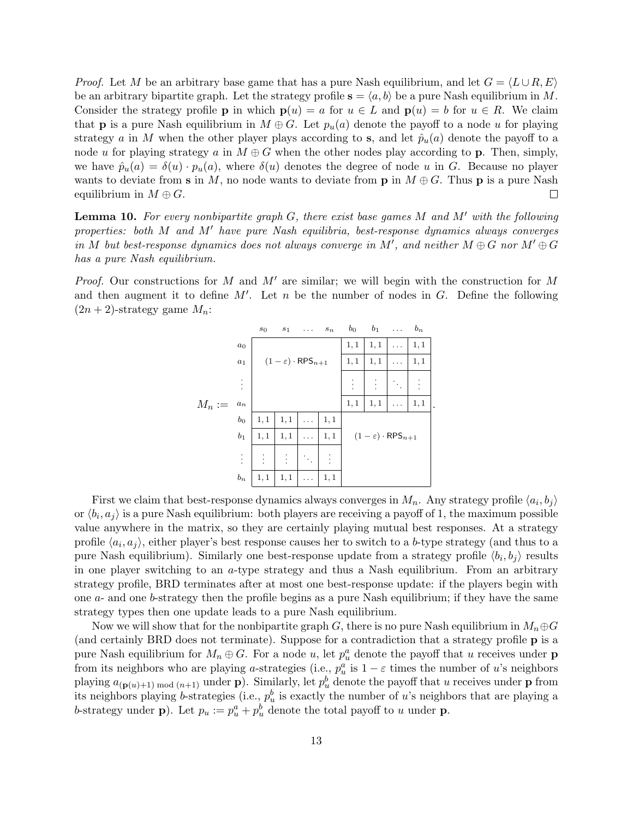*Proof.* Let M be an arbitrary base game that has a pure Nash equilibrium, and let  $G = \langle L \cup R, E \rangle$ be an arbitrary bipartite graph. Let the strategy profile  $s = \langle a, b \rangle$  be a pure Nash equilibrium in M. Consider the strategy profile **p** in which  $p(u) = a$  for  $u \in L$  and  $p(u) = b$  for  $u \in R$ . We claim that **p** is a pure Nash equilibrium in  $M \oplus G$ . Let  $p_u(a)$  denote the payoff to a node u for playing strategy a in M when the other player plays according to s, and let  $\hat{p}_u(a)$  denote the payoff to a node u for playing strategy a in  $M \oplus G$  when the other nodes play according to p. Then, simply, we have  $\hat{p}_u(a) = \delta(u) \cdot p_u(a)$ , where  $\delta(u)$  denotes the degree of node u in G. Because no player wants to deviate from s in M, no node wants to deviate from  $p$  in  $M \oplus G$ . Thus p is a pure Nash equilibrium in  $M \oplus G$ .  $\Box$ 

**Lemma 10.** For every nonbipartite graph G, there exist base games M and M' with the following properties: both M and M' have pure Nash equilibria, best-response dynamics always converges in M but best-response dynamics does not always converge in M', and neither  $M \oplus G$  nor  $M' \oplus G$ has a pure Nash equilibrium.

*Proof.* Our constructions for M and M' are similar; we will begin with the construction for M and then augment it to define  $M'$ . Let n be the number of nodes in  $G$ . Define the following  $(2n + 2)$ -strategy game  $M_n$ :



First we claim that best-response dynamics always converges in  $M_n$ . Any strategy profile  $\langle a_i, b_j \rangle$ or  $\langle b_i, a_j \rangle$  is a pure Nash equilibrium: both players are receiving a payoff of 1, the maximum possible value anywhere in the matrix, so they are certainly playing mutual best responses. At a strategy profile  $\langle a_i, a_j \rangle$ , either player's best response causes her to switch to a b-type strategy (and thus to a pure Nash equilibrium). Similarly one best-response update from a strategy profile  $\langle b_i, b_j \rangle$  results in one player switching to an  $a$ -type strategy and thus a Nash equilibrium. From an arbitrary strategy profile, BRD terminates after at most one best-response update: if the players begin with one a- and one b-strategy then the profile begins as a pure Nash equilibrium; if they have the same strategy types then one update leads to a pure Nash equilibrium.

Now we will show that for the nonbipartite graph G, there is no pure Nash equilibrium in  $M_n \oplus G$ (and certainly BRD does not terminate). Suppose for a contradiction that a strategy profile p is a pure Nash equilibrium for  $M_n \oplus G$ . For a node u, let  $p_u^a$  denote the payoff that u receives under **p** from its neighbors who are playing a-strategies (i.e.,  $p_u^a$  is  $1 - \varepsilon$  times the number of u's neighbors playing  $a_{(\mathbf{p}(u)+1) \mod (n+1)}$  under **p**). Similarly, let  $p_u^b$  denote the payoff that u receives under **p** from its neighbors playing *b*-strategies (i.e.,  $p_u^b$  is exactly the number of u's neighbors that are playing a b-strategy under **p**). Let  $p_u := p_u^a + p_u^b$  denote the total payoff to u under **p**.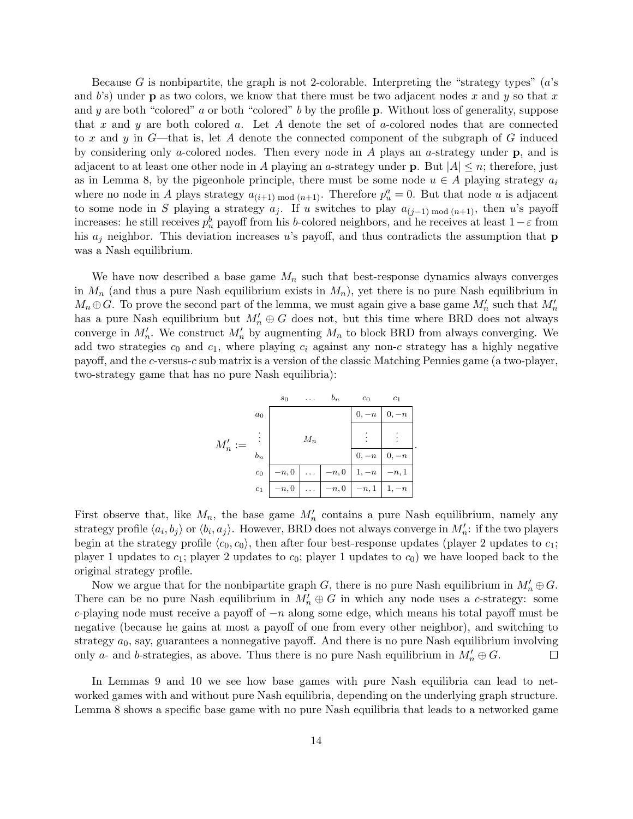Because G is nonbipartite, the graph is not 2-colorable. Interpreting the "strategy types"  $(a\text{'s})$ and b's) under **p** as two colors, we know that there must be two adjacent nodes x and y so that x and y are both "colored" a or both "colored" b by the profile  $\bf{p}$ . Without loss of generality, suppose that x and y are both colored a. Let A denote the set of a-colored nodes that are connected to x and y in  $G$ —that is, let A denote the connected component of the subgraph of G induced by considering only a-colored nodes. Then every node in A plays an a-strategy under  $\bf{p}$ , and is adjacent to at least one other node in A playing an a-strategy under **p**. But  $|A| \le n$ ; therefore, just as in Lemma 8, by the pigeonhole principle, there must be some node  $u \in A$  playing strategy  $a_i$ where no node in A plays strategy  $a_{(i+1) \mod (n+1)}$ . Therefore  $p_u^a = 0$ . But that node u is adjacent to some node in S playing a strategy  $a_j$ . If u switches to play  $a_{(j-1) \mod (n+1)}$ , then u's payoff increases: he still receives  $p_u^b$  payoff from his b-colored neighbors, and he receives at least  $1-\varepsilon$  from his  $a_j$  neighbor. This deviation increases u's payoff, and thus contradicts the assumption that **p** was a Nash equilibrium.

We have now described a base game  $M_n$  such that best-response dynamics always converges in  $M_n$  (and thus a pure Nash equilibrium exists in  $M_n$ ), yet there is no pure Nash equilibrium in  $M_n \oplus G$ . To prove the second part of the lemma, we must again give a base game  $M'_n$  such that  $M'_n$ has a pure Nash equilibrium but  $M'_n \oplus G$  does not, but this time where BRD does not always converge in  $M'_n$ . We construct  $M'_n$  by augmenting  $M_n$  to block BRD from always converging. We add two strategies  $c_0$  and  $c_1$ , where playing  $c_i$  against any non-c strategy has a highly negative payoff, and the c-versus-c sub matrix is a version of the classic Matching Pennies game (a two-player, two-strategy game that has no pure Nash equilibria):

|        |                    | s <sub>0</sub> | $\cdots$ | $b_n$                                                                        | c <sub>0</sub> | c <sub>1</sub>     |
|--------|--------------------|----------------|----------|------------------------------------------------------------------------------|----------------|--------------------|
| $M_n'$ | $\boldsymbol{a}_0$ |                |          |                                                                              | $0, -n$        | $0, -n$            |
|        |                    |                |          |                                                                              |                |                    |
|        | $b_n$              |                |          |                                                                              | $0,-n$         | $0, -n$            |
|        | $\boldsymbol{c}_0$ |                |          | $\left\lceil -n,0\right\rceil$ $\dots$ $\left\lceil -n,0\right\rceil$ $1,-n$ |                | $-n,1$             |
|        | $c_1$              | $-n,0$         |          | $\ldots$   $-n, 0$   $-n, 1$                                                 |                | $\vert 1,-n \vert$ |

.

First observe that, like  $M_n$ , the base game  $M'_n$  contains a pure Nash equilibrium, namely any strategy profile  $\langle a_i, b_j \rangle$  or  $\langle b_i, a_j \rangle$ . However, BRD does not always converge in  $M'_n$ : if the two players begin at the strategy profile  $\langle c_0, c_0 \rangle$ , then after four best-response updates (player 2 updates to  $c_1$ ; player 1 updates to  $c_1$ ; player 2 updates to  $c_0$ ; player 1 updates to  $c_0$ ) we have looped back to the original strategy profile.

Now we argue that for the nonbipartite graph G, there is no pure Nash equilibrium in  $M'_n \oplus G$ . There can be no pure Nash equilibrium in  $M'_n \oplus G$  in which any node uses a c-strategy: some c-playing node must receive a payoff of  $-n$  along some edge, which means his total payoff must be negative (because he gains at most a payoff of one from every other neighbor), and switching to strategy  $a_0$ , say, guarantees a nonnegative payoff. And there is no pure Nash equilibrium involving only a- and b-strategies, as above. Thus there is no pure Nash equilibrium in  $M'_n \oplus G$ .  $\Box$ 

In Lemmas 9 and 10 we see how base games with pure Nash equilibria can lead to networked games with and without pure Nash equilibria, depending on the underlying graph structure. Lemma 8 shows a specific base game with no pure Nash equilibria that leads to a networked game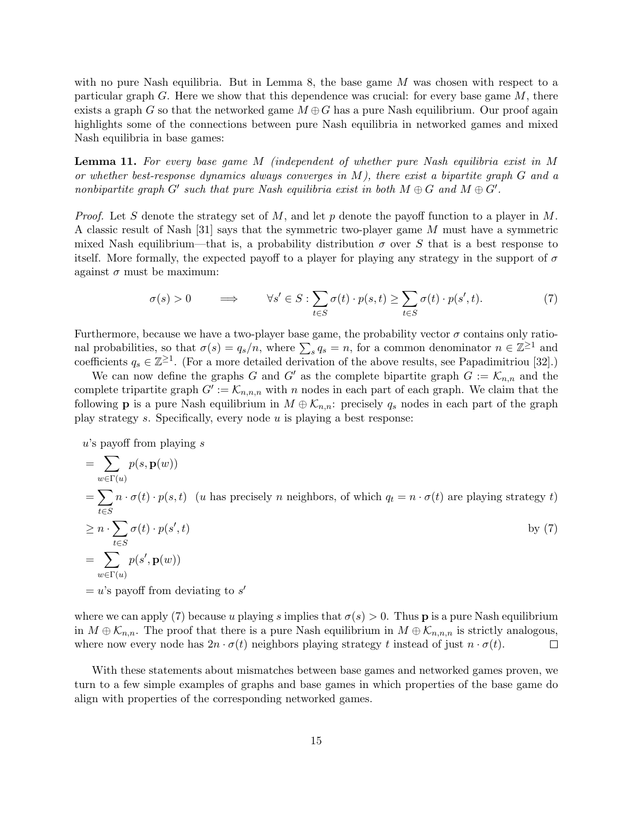with no pure Nash equilibria. But in Lemma 8, the base game  $M$  was chosen with respect to a particular graph  $G$ . Here we show that this dependence was crucial: for every base game  $M$ , there exists a graph G so that the networked game  $M \oplus G$  has a pure Nash equilibrium. Our proof again highlights some of the connections between pure Nash equilibria in networked games and mixed Nash equilibria in base games:

Lemma 11. For every base game M (independent of whether pure Nash equilibria exist in M or whether best-response dynamics always converges in  $M$ ), there exist a bipartite graph  $G$  and a nonbipartite graph G' such that pure Nash equilibria exist in both  $M \oplus G$  and  $M \oplus G'$ .

*Proof.* Let S denote the strategy set of M, and let p denote the payoff function to a player in M. A classic result of Nash [31] says that the symmetric two-player game M must have a symmetric mixed Nash equilibrium—that is, a probability distribution  $\sigma$  over S that is a best response to itself. More formally, the expected payoff to a player for playing any strategy in the support of  $\sigma$ against  $\sigma$  must be maximum:

$$
\sigma(s) > 0 \qquad \implies \qquad \forall s' \in S : \sum_{t \in S} \sigma(t) \cdot p(s, t) \ge \sum_{t \in S} \sigma(t) \cdot p(s', t). \tag{7}
$$

Furthermore, because we have a two-player base game, the probability vector  $\sigma$  contains only rational probabilities, so that  $\sigma(s) = q_s/n$ , where  $\sum_s q_s = n$ , for a common denominator  $n \in \mathbb{Z}^{\geq 1}$  and coefficients  $q_s \in \mathbb{Z}^{\geq 1}$ . (For a more detailed derivation of the above results, see Papadimitriou [32].)

We can now define the graphs G and G' as the complete bipartite graph  $G := \mathcal{K}_{n,n}$  and the complete tripartite graph  $G' := \mathcal{K}_{n,n,n}$  with n nodes in each part of each graph. We claim that the following **p** is a pure Nash equilibrium in  $M \oplus \mathcal{K}_{n,n}$ : precisely  $q_s$  nodes in each part of the graph play strategy s. Specifically, every node  $u$  is playing a best response:

 $u$ 's payoff from playing  $s$ 

$$
= \sum_{w \in \Gamma(u)} p(s, \mathbf{p}(w))
$$
  
\n
$$
= \sum_{t \in S} n \cdot \sigma(t) \cdot p(s, t) \quad (u \text{ has precisely } n \text{ neighbors, of which } q_t = n \cdot \sigma(t) \text{ are playing strategy } t)
$$
  
\n
$$
\ge n \cdot \sum_{t \in S} \sigma(t) \cdot p(s', t)
$$
  
\n
$$
= \sum_{w \in \Gamma(u)} p(s', \mathbf{p}(w))
$$
  
\n
$$
= u's payoff from deviating to s'
$$

where we can apply (7) because u playing s implies that  $\sigma(s) > 0$ . Thus **p** is a pure Nash equilibrium in  $M \oplus \mathcal{K}_{n,n}$ . The proof that there is a pure Nash equilibrium in  $M \oplus \mathcal{K}_{n,n,n}$  is strictly analogous, where now every node has  $2n \cdot \sigma(t)$  neighbors playing strategy t instead of just  $n \cdot \sigma(t)$ .  $\Box$ 

With these statements about mismatches between base games and networked games proven, we turn to a few simple examples of graphs and base games in which properties of the base game do align with properties of the corresponding networked games.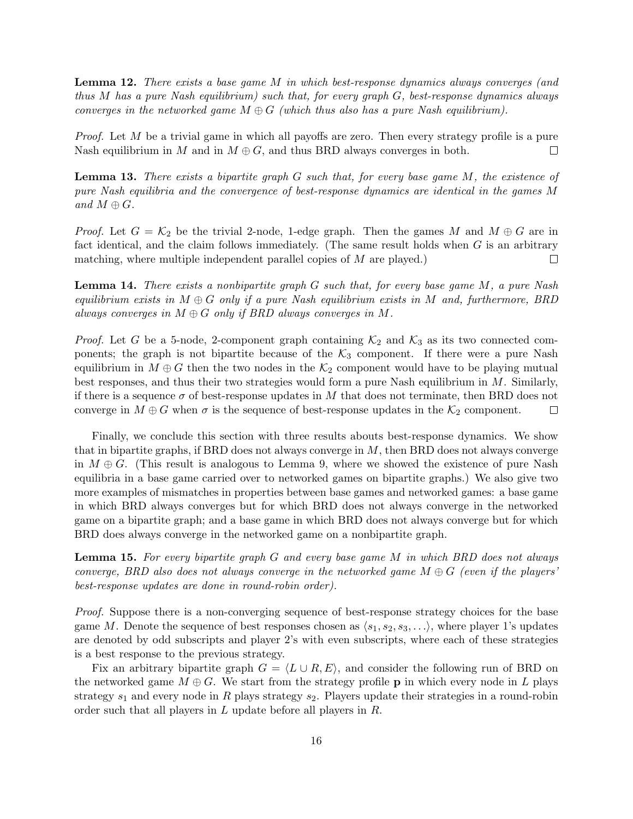**Lemma 12.** There exists a base game M in which best-response dynamics always converges (and thus  $M$  has a pure Nash equilibrium) such that, for every graph  $G$ , best-response dynamics always converges in the networked game  $M \oplus G$  (which thus also has a pure Nash equilibrium).

Proof. Let M be a trivial game in which all payoffs are zero. Then every strategy profile is a pure Nash equilibrium in M and in  $M \oplus G$ , and thus BRD always converges in both.  $\Box$ 

**Lemma 13.** There exists a bipartite graph  $G$  such that, for every base game  $M$ , the existence of pure Nash equilibria and the convergence of best-response dynamics are identical in the games M and  $M \oplus G$ .

*Proof.* Let  $G = \mathcal{K}_2$  be the trivial 2-node, 1-edge graph. Then the games M and  $M \oplus G$  are in fact identical, and the claim follows immediately. (The same result holds when  $G$  is an arbitrary matching, where multiple independent parallel copies of M are played.)  $\Box$ 

**Lemma 14.** There exists a nonbipartite graph  $G$  such that, for every base game  $M$ , a pure Nash equilibrium exists in  $M \oplus G$  only if a pure Nash equilibrium exists in M and, furthermore, BRD always converges in  $M \oplus G$  only if BRD always converges in M.

*Proof.* Let G be a 5-node, 2-component graph containing  $K_2$  and  $K_3$  as its two connected components; the graph is not bipartite because of the  $K_3$  component. If there were a pure Nash equilibrium in  $M \oplus G$  then the two nodes in the  $K_2$  component would have to be playing mutual best responses, and thus their two strategies would form a pure Nash equilibrium in  $M$ . Similarly, if there is a sequence  $\sigma$  of best-response updates in M that does not terminate, then BRD does not converge in  $M \oplus G$  when  $\sigma$  is the sequence of best-response updates in the  $\mathcal{K}_2$  component.  $\Box$ 

Finally, we conclude this section with three results abouts best-response dynamics. We show that in bipartite graphs, if BRD does not always converge in  $M$ , then BRD does not always converge in  $M \oplus G$ . (This result is analogous to Lemma 9, where we showed the existence of pure Nash equilibria in a base game carried over to networked games on bipartite graphs.) We also give two more examples of mismatches in properties between base games and networked games: a base game in which BRD always converges but for which BRD does not always converge in the networked game on a bipartite graph; and a base game in which BRD does not always converge but for which BRD does always converge in the networked game on a nonbipartite graph.

**Lemma 15.** For every bipartite graph G and every base game M in which BRD does not always converge, BRD also does not always converge in the networked game  $M \oplus G$  (even if the players' best-response updates are done in round-robin order).

Proof. Suppose there is a non-converging sequence of best-response strategy choices for the base game M. Denote the sequence of best responses chosen as  $\langle s_1, s_2, s_3, \ldots \rangle$ , where player 1's updates are denoted by odd subscripts and player 2's with even subscripts, where each of these strategies is a best response to the previous strategy.

Fix an arbitrary bipartite graph  $G = \langle L \cup R, E \rangle$ , and consider the following run of BRD on the networked game  $M \oplus G$ . We start from the strategy profile **p** in which every node in L plays strategy  $s_1$  and every node in R plays strategy  $s_2$ . Players update their strategies in a round-robin order such that all players in L update before all players in R.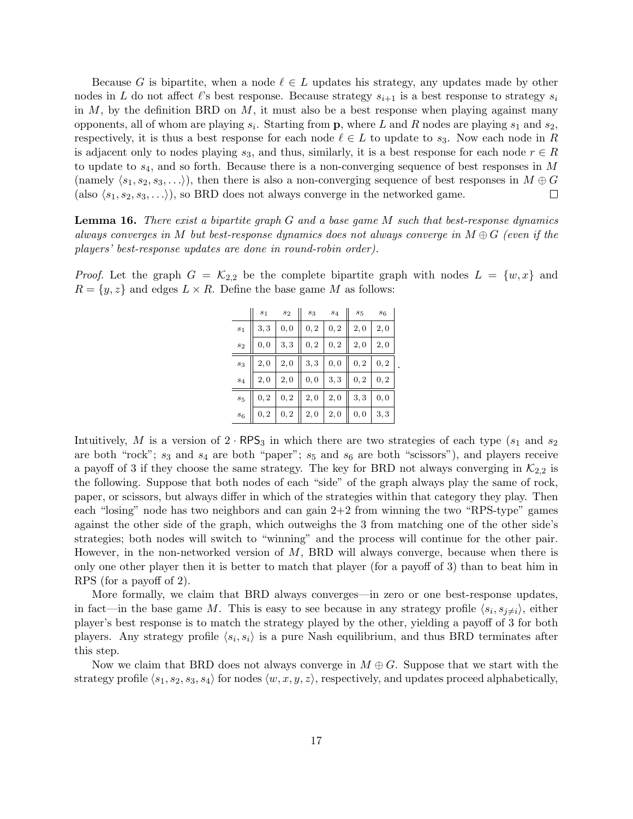Because G is bipartite, when a node  $\ell \in L$  updates his strategy, any updates made by other nodes in L do not affect  $\ell$ 's best response. Because strategy  $s_{i+1}$  is a best response to strategy  $s_i$ in  $M$ , by the definition BRD on  $M$ , it must also be a best response when playing against many opponents, all of whom are playing  $s_i$ . Starting from **p**, where L and R nodes are playing  $s_1$  and  $s_2$ , respectively, it is thus a best response for each node  $\ell \in L$  to update to  $s_3$ . Now each node in R is adjacent only to nodes playing  $s_3$ , and thus, similarly, it is a best response for each node  $r \in R$ to update to  $s_4$ , and so forth. Because there is a non-converging sequence of best responses in M (namely  $\langle s_1, s_2, s_3, \ldots \rangle$ ), then there is also a non-converging sequence of best responses in  $M \oplus G$ (also  $\langle s_1, s_2, s_3, \ldots \rangle$ ), so BRD does not always converge in the networked game.  $\Box$ 

**Lemma 16.** There exist a bipartite graph G and a base game M such that best-response dynamics always converges in M but best-response dynamics does not always converge in  $M \oplus G$  (even if the players' best-response updates are done in round-robin order).

*Proof.* Let the graph  $G = \mathcal{K}_{2,2}$  be the complete bipartite graph with nodes  $L = \{w, x\}$  and  $R = \{y, z\}$  and edges  $L \times R$ . Define the base game M as follows:

|       | s <sub>1</sub> | $\mathfrak{s}_2$                | $^{s_3}$ | $\mathfrak{s}_4$ | $s_{5}$ | $s_{6}$ |
|-------|----------------|---------------------------------|----------|------------------|---------|---------|
| $s_1$ | 3, 3           | 0, 0                            | 0, 2     | 0, 2             | 2,0     | 2,0     |
| $s_2$ | 0,0            | 3,3                             | 0, 2     | 0, 2             | 2,0     | 2,0     |
| $s_3$ | 2,0            | 2,0                             | 3, 3     | 0, 0             | 0, 2    | 0, 2    |
| $s_4$ | 2,0            | 2,0                             | 0, 0     | 3, 3             | 0, 2    | 0, 2    |
| $s_5$ | 0, 2           | $0,2\,$                         | 2,0      | 2,0              | 3, 3    | 0,0     |
| $s_6$ | 0, 2           | $\boldsymbol{0},\boldsymbol{2}$ | 2,0      | 2,0              | 0, 0    | 3, 3    |

.

Intuitively, M is a version of  $2 \cdot RPS_3$  in which there are two strategies of each type ( $s_1$  and  $s_2$ ) are both "rock";  $s_3$  and  $s_4$  are both "paper";  $s_5$  and  $s_6$  are both "scissors"), and players receive a payoff of 3 if they choose the same strategy. The key for BRD not always converging in  $\mathcal{K}_{2,2}$  is the following. Suppose that both nodes of each "side" of the graph always play the same of rock, paper, or scissors, but always differ in which of the strategies within that category they play. Then each "losing" node has two neighbors and can gain 2+2 from winning the two "RPS-type" games against the other side of the graph, which outweighs the 3 from matching one of the other side's strategies; both nodes will switch to "winning" and the process will continue for the other pair. However, in the non-networked version of  $M$ , BRD will always converge, because when there is only one other player then it is better to match that player (for a payoff of 3) than to beat him in RPS (for a payoff of 2).

More formally, we claim that BRD always converges—in zero or one best-response updates, in fact—in the base game M. This is easy to see because in any strategy profile  $\langle s_i, s_{j\neq i} \rangle$ , either player's best response is to match the strategy played by the other, yielding a payoff of 3 for both players. Any strategy profile  $\langle s_i, s_i \rangle$  is a pure Nash equilibrium, and thus BRD terminates after this step.

Now we claim that BRD does not always converge in  $M \oplus G$ . Suppose that we start with the strategy profile  $\langle s_1, s_2, s_3, s_4 \rangle$  for nodes  $\langle w, x, y, z \rangle$ , respectively, and updates proceed alphabetically,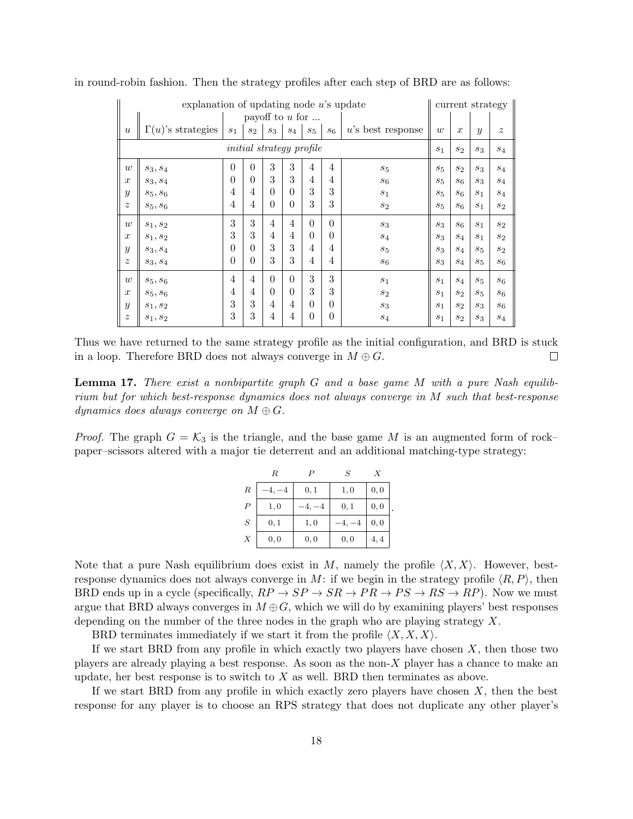| explanation of updating node $u$ 's update |                           |                |                   |          |          |          | current strategy |                      |                |                  |                |                  |
|--------------------------------------------|---------------------------|----------------|-------------------|----------|----------|----------|------------------|----------------------|----------------|------------------|----------------|------------------|
|                                            |                           |                | payoff to $u$ for |          |          |          |                  |                      |                |                  |                |                  |
| $\boldsymbol{u}$                           | $\Gamma(u)$ 's strategies | s <sub>1</sub> | $s_2$             | $s_3$    | $s_4$    | $s_5$    | s <sub>6</sub>   | $u$ 's best response | $\overline{w}$ | $\boldsymbol{x}$ | $\mathcal{Y}$  | $\boldsymbol{z}$ |
| initial strategy profile                   |                           |                |                   |          |          |          | S <sub>1</sub>   | $s_2$                | $s_3$          | $S_4$            |                |                  |
| w                                          | $s_3, s_4$                | $\theta$       | $\Omega$          | 3        | 3        | 4        | 4                | $s_{5}$              | $s_5$          | $s_2$            | $s_3$          | $S_4$            |
| $\boldsymbol{x}$                           | $s_3, s_4$                | 0              | $\Omega$          | 3        | 3        | 4        | 4                | $s_6$                | $s_5$          | $s_6$            | $s_3$          | $S_4$            |
| $\boldsymbol{y}$                           | $s_5, s_6$                | 4              | 4                 | $\theta$ | 0        | 3        | 3                | $s_1$                | $s_5$          | $s_6$            | s <sub>1</sub> | $S_4$            |
| $\tilde{z}$                                | $s_5, s_6$                | 4              | 4                 | $\theta$ | $\Omega$ | 3        | 3                | $s_2$                | $s_5$          | $s_6$            | s <sub>1</sub> | $s_2$            |
| w                                          | $s_1, s_2$                | 3              | 3                 | 4        | 4        | $\Omega$ | $\theta$         | $s_3$                | $s_3$          | s <sub>6</sub>   | S <sub>1</sub> | $s_2$            |
| $\boldsymbol{x}$                           | $s_1, s_2$                | 3              | 3                 | 4        | 4        | $\Omega$ | $\theta$         | $s_4$                | $s_3$          | $S_4$            | s <sub>1</sub> | $s_2$            |
| $\boldsymbol{y}$                           | $s_3, s_4$                | 0              | $\Omega$          | 3        | 3        | 4        | 4                | $s_5$                | $s_3$          | $s_4$            | $s_{5}$        | $s_2$            |
| $\boldsymbol{z}$                           | $s_3, s_4$                | 0              | $\Omega$          | 3        | 3        | 4        | 4                | $s_6$                | $s_3$          | $S_4$            | $s_5$          | $s_6$            |
| w                                          | $s_5, s_6$                | 4              | 4                 | $\theta$ | $\Omega$ | 3        | 3                | s <sub>1</sub>       | s <sub>1</sub> | $S_4$            | $s_{5}$        | s <sub>6</sub>   |
| $\boldsymbol{x}$                           | $s_5, s_6$                | 4              | 4                 | $\theta$ | 0        | 3        | 3                | $s_2$                | s <sub>1</sub> | $s_2$            | $s_{5}$        | $s_6$            |
| $\boldsymbol{y}$                           | $s_1, s_2$                | 3              | 3                 | 4        | 4        | $\theta$ | $\theta$         | $s_3$                | s <sub>1</sub> | $s_2$            | $s_3$          | $s_6$            |
| $\boldsymbol{z}$                           | $s_1, s_2$                | 3              | 3                 | 4        | 4        | $\theta$ | $\theta$         | $s_4$                | s <sub>1</sub> | $s_2$            | $s_3$          | $s_4$            |

in round-robin fashion. Then the strategy profiles after each step of BRD are as follows:

Thus we have returned to the same strategy profile as the initial configuration, and BRD is stuck in a loop. Therefore BRD does not always converge in  $M \oplus G$ .  $\Box$ 

**Lemma 17.** There exist a nonbipartite graph  $G$  and a base game  $M$  with a pure Nash equilibrium but for which best-response dynamics does not always converge in M such that best-response dynamics does always converge on  $M \oplus G$ .

*Proof.* The graph  $G = \mathcal{K}_3$  is the triangle, and the base game M is an augmented form of rock– paper–scissors altered with a major tie deterrent and an additional matching-type strategy:

|                  | R    |      | S    |      |  |
|------------------|------|------|------|------|--|
| $\boldsymbol{R}$ |      | 0, 1 | 1,0  | 0, 0 |  |
| $\boldsymbol{P}$ | 1,0  |      | 0, 1 | 0, 0 |  |
| $\cal S$         | 0, 1 | 1,0  |      | 0, 0 |  |
| Х                | 0,0  | 0, 0 | 0,0  | 4, 4 |  |

Note that a pure Nash equilibrium does exist in M, namely the profile  $\langle X, X \rangle$ . However, bestresponse dynamics does not always converge in M: if we begin in the strategy profile  $\langle R, P \rangle$ , then BRD ends up in a cycle (specifically,  $RP \to SP \to SR \to PR \to PS \to RS \to RP$ ). Now we must argue that BRD always converges in  $M \oplus G$ , which we will do by examining players' best responses depending on the number of the three nodes in the graph who are playing strategy X.

BRD terminates immediately if we start it from the profile  $\langle X, X, X \rangle$ .

If we start BRD from any profile in which exactly two players have chosen  $X$ , then those two players are already playing a best response. As soon as the non-X player has a chance to make an update, her best response is to switch to  $X$  as well. BRD then terminates as above.

If we start BRD from any profile in which exactly zero players have chosen  $X$ , then the best response for any player is to choose an RPS strategy that does not duplicate any other player's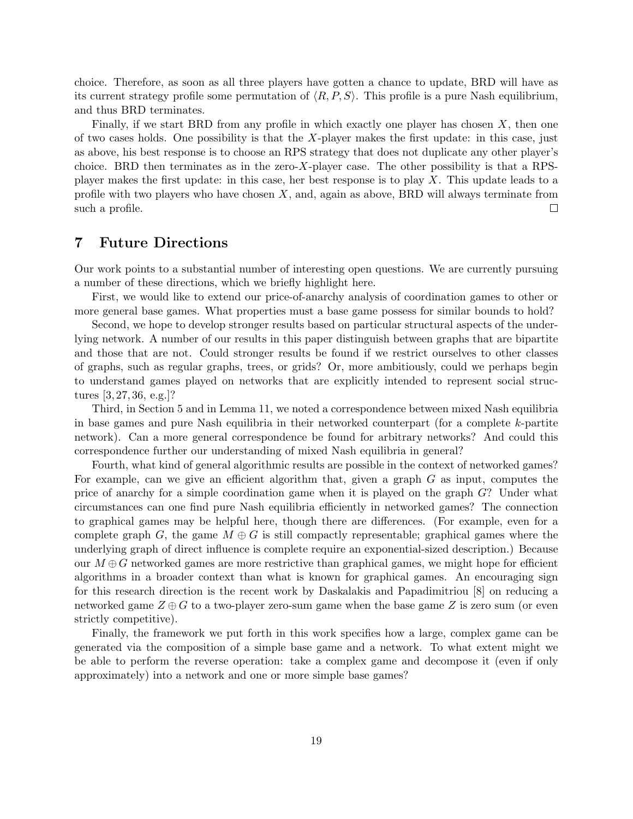choice. Therefore, as soon as all three players have gotten a chance to update, BRD will have as its current strategy profile some permutation of  $\langle R, P, S \rangle$ . This profile is a pure Nash equilibrium, and thus BRD terminates.

Finally, if we start BRD from any profile in which exactly one player has chosen  $X$ , then one of two cases holds. One possibility is that the X-player makes the first update: in this case, just as above, his best response is to choose an RPS strategy that does not duplicate any other player's choice. BRD then terminates as in the zero-X-player case. The other possibility is that a RPSplayer makes the first update: in this case, her best response is to play  $X$ . This update leads to a profile with two players who have chosen  $X$ , and, again as above, BRD will always terminate from such a profile.  $\Box$ 

#### 7 Future Directions

Our work points to a substantial number of interesting open questions. We are currently pursuing a number of these directions, which we briefly highlight here.

First, we would like to extend our price-of-anarchy analysis of coordination games to other or more general base games. What properties must a base game possess for similar bounds to hold?

Second, we hope to develop stronger results based on particular structural aspects of the underlying network. A number of our results in this paper distinguish between graphs that are bipartite and those that are not. Could stronger results be found if we restrict ourselves to other classes of graphs, such as regular graphs, trees, or grids? Or, more ambitiously, could we perhaps begin to understand games played on networks that are explicitly intended to represent social structures [3, 27, 36, e.g.]?

Third, in Section 5 and in Lemma 11, we noted a correspondence between mixed Nash equilibria in base games and pure Nash equilibria in their networked counterpart (for a complete k-partite network). Can a more general correspondence be found for arbitrary networks? And could this correspondence further our understanding of mixed Nash equilibria in general?

Fourth, what kind of general algorithmic results are possible in the context of networked games? For example, can we give an efficient algorithm that, given a graph  $G$  as input, computes the price of anarchy for a simple coordination game when it is played on the graph G? Under what circumstances can one find pure Nash equilibria efficiently in networked games? The connection to graphical games may be helpful here, though there are differences. (For example, even for a complete graph G, the game  $M \oplus G$  is still compactly representable; graphical games where the underlying graph of direct influence is complete require an exponential-sized description.) Because our  $M \oplus G$  networked games are more restrictive than graphical games, we might hope for efficient algorithms in a broader context than what is known for graphical games. An encouraging sign for this research direction is the recent work by Daskalakis and Papadimitriou [8] on reducing a networked game  $Z \oplus G$  to a two-player zero-sum game when the base game Z is zero sum (or even strictly competitive).

Finally, the framework we put forth in this work specifies how a large, complex game can be generated via the composition of a simple base game and a network. To what extent might we be able to perform the reverse operation: take a complex game and decompose it (even if only approximately) into a network and one or more simple base games?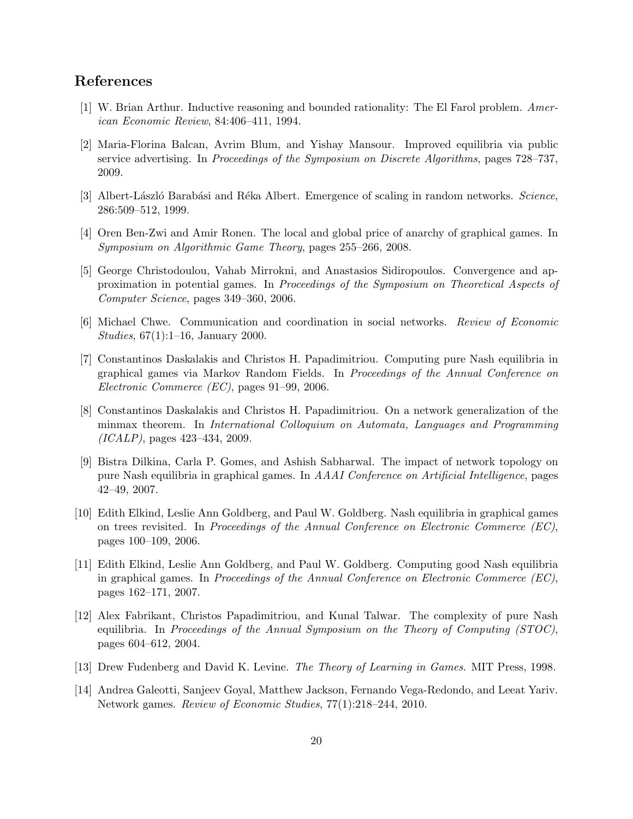## References

- [1] W. Brian Arthur. Inductive reasoning and bounded rationality: The El Farol problem. American Economic Review, 84:406–411, 1994.
- [2] Maria-Florina Balcan, Avrim Blum, and Yishay Mansour. Improved equilibria via public service advertising. In Proceedings of the Symposium on Discrete Algorithms, pages 728–737, 2009.
- [3] Albert-László Barabási and Réka Albert. Emergence of scaling in random networks. Science, 286:509–512, 1999.
- [4] Oren Ben-Zwi and Amir Ronen. The local and global price of anarchy of graphical games. In Symposium on Algorithmic Game Theory, pages 255–266, 2008.
- [5] George Christodoulou, Vahab Mirrokni, and Anastasios Sidiropoulos. Convergence and approximation in potential games. In Proceedings of the Symposium on Theoretical Aspects of Computer Science, pages 349–360, 2006.
- [6] Michael Chwe. Communication and coordination in social networks. Review of Economic Studies, 67(1):1–16, January 2000.
- [7] Constantinos Daskalakis and Christos H. Papadimitriou. Computing pure Nash equilibria in graphical games via Markov Random Fields. In Proceedings of the Annual Conference on Electronic Commerce (EC), pages 91–99, 2006.
- [8] Constantinos Daskalakis and Christos H. Papadimitriou. On a network generalization of the minmax theorem. In International Colloquium on Automata, Languages and Programming (ICALP), pages 423–434, 2009.
- [9] Bistra Dilkina, Carla P. Gomes, and Ashish Sabharwal. The impact of network topology on pure Nash equilibria in graphical games. In AAAI Conference on Artificial Intelligence, pages 42–49, 2007.
- [10] Edith Elkind, Leslie Ann Goldberg, and Paul W. Goldberg. Nash equilibria in graphical games on trees revisited. In Proceedings of the Annual Conference on Electronic Commerce (EC), pages 100–109, 2006.
- [11] Edith Elkind, Leslie Ann Goldberg, and Paul W. Goldberg. Computing good Nash equilibria in graphical games. In Proceedings of the Annual Conference on Electronic Commerce (EC), pages 162–171, 2007.
- [12] Alex Fabrikant, Christos Papadimitriou, and Kunal Talwar. The complexity of pure Nash equilibria. In Proceedings of the Annual Symposium on the Theory of Computing (STOC), pages 604–612, 2004.
- [13] Drew Fudenberg and David K. Levine. The Theory of Learning in Games. MIT Press, 1998.
- [14] Andrea Galeotti, Sanjeev Goyal, Matthew Jackson, Fernando Vega-Redondo, and Leeat Yariv. Network games. Review of Economic Studies, 77(1):218–244, 2010.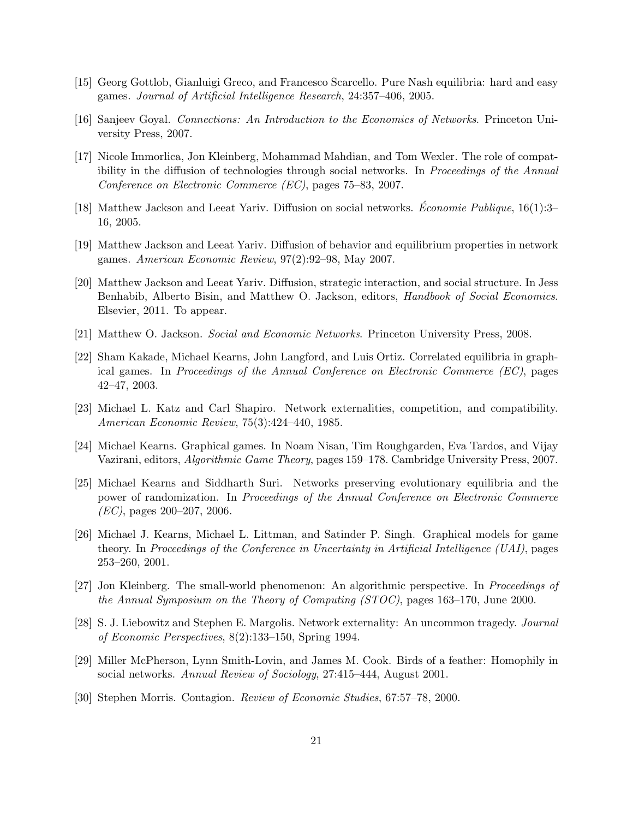- [15] Georg Gottlob, Gianluigi Greco, and Francesco Scarcello. Pure Nash equilibria: hard and easy games. Journal of Artificial Intelligence Research, 24:357–406, 2005.
- [16] Sanjeev Goyal. Connections: An Introduction to the Economics of Networks. Princeton University Press, 2007.
- [17] Nicole Immorlica, Jon Kleinberg, Mohammad Mahdian, and Tom Wexler. The role of compatibility in the diffusion of technologies through social networks. In *Proceedings of the Annual* Conference on Electronic Commerce (EC), pages 75–83, 2007.
- [18] Matthew Jackson and Leeat Yariv. Diffusion on social networks. Economie Publique,  $16(1)$ :3– 16, 2005.
- [19] Matthew Jackson and Leeat Yariv. Diffusion of behavior and equilibrium properties in network games. American Economic Review, 97(2):92–98, May 2007.
- [20] Matthew Jackson and Leeat Yariv. Diffusion, strategic interaction, and social structure. In Jess Benhabib, Alberto Bisin, and Matthew O. Jackson, editors, *Handbook of Social Economics*. Elsevier, 2011. To appear.
- [21] Matthew O. Jackson. Social and Economic Networks. Princeton University Press, 2008.
- [22] Sham Kakade, Michael Kearns, John Langford, and Luis Ortiz. Correlated equilibria in graphical games. In Proceedings of the Annual Conference on Electronic Commerce (EC), pages 42–47, 2003.
- [23] Michael L. Katz and Carl Shapiro. Network externalities, competition, and compatibility. American Economic Review, 75(3):424–440, 1985.
- [24] Michael Kearns. Graphical games. In Noam Nisan, Tim Roughgarden, Eva Tardos, and Vijay Vazirani, editors, Algorithmic Game Theory, pages 159–178. Cambridge University Press, 2007.
- [25] Michael Kearns and Siddharth Suri. Networks preserving evolutionary equilibria and the power of randomization. In Proceedings of the Annual Conference on Electronic Commerce  $(EC)$ , pages 200–207, 2006.
- [26] Michael J. Kearns, Michael L. Littman, and Satinder P. Singh. Graphical models for game theory. In Proceedings of the Conference in Uncertainty in Artificial Intelligence (UAI), pages 253–260, 2001.
- [27] Jon Kleinberg. The small-world phenomenon: An algorithmic perspective. In Proceedings of the Annual Symposium on the Theory of Computing (STOC), pages 163–170, June 2000.
- [28] S. J. Liebowitz and Stephen E. Margolis. Network externality: An uncommon tragedy. Journal of Economic Perspectives, 8(2):133–150, Spring 1994.
- [29] Miller McPherson, Lynn Smith-Lovin, and James M. Cook. Birds of a feather: Homophily in social networks. Annual Review of Sociology, 27:415–444, August 2001.
- [30] Stephen Morris. Contagion. Review of Economic Studies, 67:57–78, 2000.